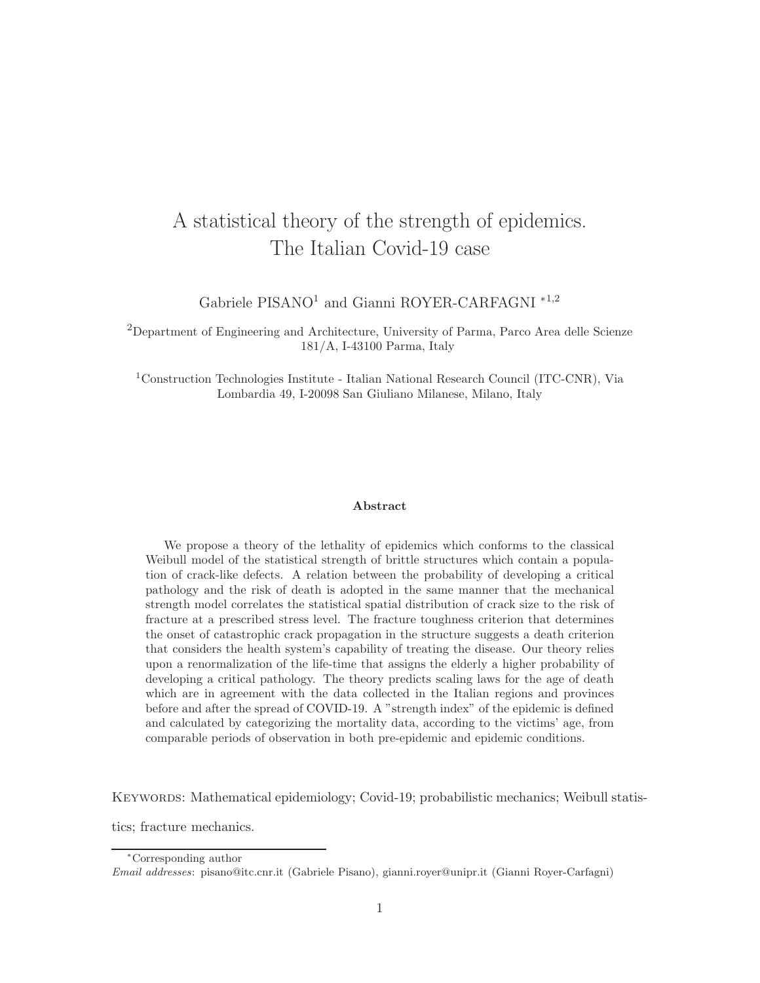# A statistical theory of the strength of epidemics. The Italian Covid-19 case

Gabriele PISANO<sup>1</sup> and Gianni ROYER-CARFAGNI<sup>\*1,2</sup>

<sup>2</sup>Department of Engineering and Architecture, University of Parma, Parco Area delle Scienze 181/A, I-43100 Parma, Italy

<sup>1</sup>Construction Technologies Institute - Italian National Research Council (ITC-CNR), Via Lombardia 49, I-20098 San Giuliano Milanese, Milano, Italy

## Abstract

We propose a theory of the lethality of epidemics which conforms to the classical Weibull model of the statistical strength of brittle structures which contain a population of crack-like defects. A relation between the probability of developing a critical pathology and the risk of death is adopted in the same manner that the mechanical strength model correlates the statistical spatial distribution of crack size to the risk of fracture at a prescribed stress level. The fracture toughness criterion that determines the onset of catastrophic crack propagation in the structure suggests a death criterion that considers the health system's capability of treating the disease. Our theory relies upon a renormalization of the life-time that assigns the elderly a higher probability of developing a critical pathology. The theory predicts scaling laws for the age of death which are in agreement with the data collected in the Italian regions and provinces before and after the spread of COVID-19. A "strength index" of the epidemic is defined and calculated by categorizing the mortality data, according to the victims' age, from comparable periods of observation in both pre-epidemic and epidemic conditions.

Keywords: Mathematical epidemiology; Covid-19; probabilistic mechanics; Weibull statis-

tics; fracture mechanics.

<sup>∗</sup>Corresponding author

Email addresses: pisano@itc.cnr.it (Gabriele Pisano), gianni.royer@unipr.it (Gianni Royer-Carfagni)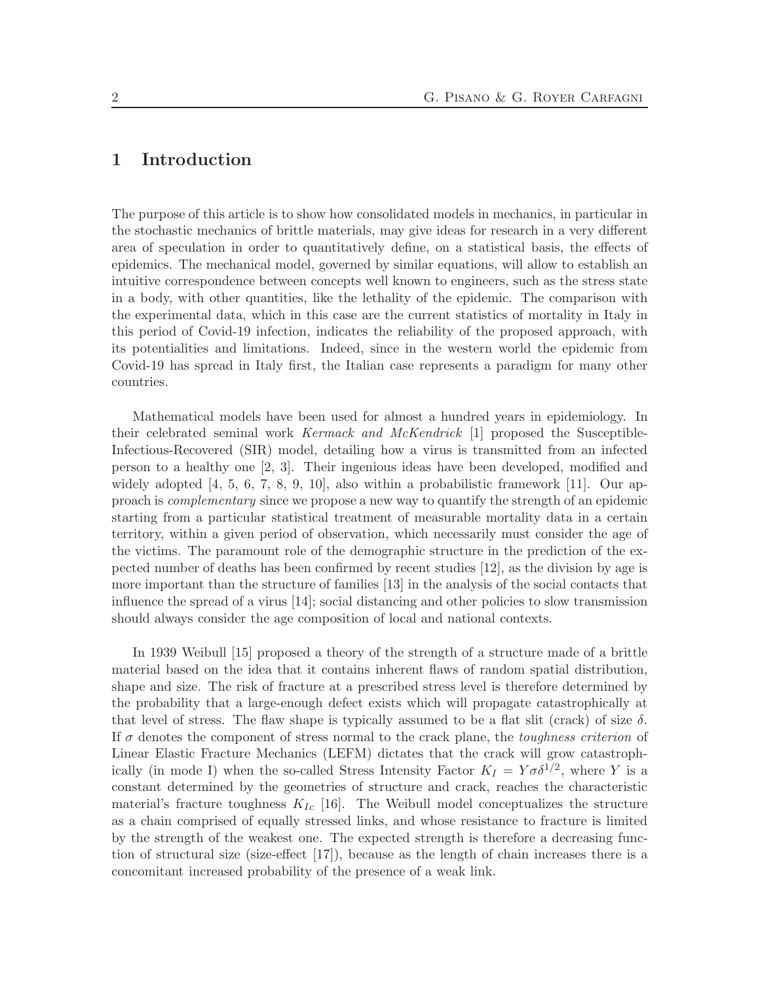# 1 Introduction

The purpose of this article is to show how consolidated models in mechanics, in particular in the stochastic mechanics of brittle materials, may give ideas for research in a very different area of speculation in order to quantitatively define, on a statistical basis, the effects of epidemics. The mechanical model, governed by similar equations, will allow to establish an intuitive correspondence between concepts well known to engineers, such as the stress state in a body, with other quantities, like the lethality of the epidemic. The comparison with the experimental data, which in this case are the current statistics of mortality in Italy in this period of Covid-19 infection, indicates the reliability of the proposed approach, with its potentialities and limitations. Indeed, since in the western world the epidemic from Covid-19 has spread in Italy first, the Italian case represents a paradigm for many other countries.

Mathematical models have been used for almost a hundred years in epidemiology. In their celebrated seminal work Kermack and McKendrick [1] proposed the Susceptible-Infectious-Recovered (SIR) model, detailing how a virus is transmitted from an infected person to a healthy one [2, 3]. Their ingenious ideas have been developed, modified and widely adopted  $[4, 5, 6, 7, 8, 9, 10]$ , also within a probabilistic framework  $[11]$ . Our approach is complementary since we propose a new way to quantify the strength of an epidemic starting from a particular statistical treatment of measurable mortality data in a certain territory, within a given period of observation, which necessarily must consider the age of the victims. The paramount role of the demographic structure in the prediction of the expected number of deaths has been confirmed by recent studies [12], as the division by age is more important than the structure of families [13] in the analysis of the social contacts that influence the spread of a virus [14]; social distancing and other policies to slow transmission should always consider the age composition of local and national contexts.

In 1939 Weibull [15] proposed a theory of the strength of a structure made of a brittle material based on the idea that it contains inherent flaws of random spatial distribution, shape and size. The risk of fracture at a prescribed stress level is therefore determined by the probability that a large-enough defect exists which will propagate catastrophically at that level of stress. The flaw shape is typically assumed to be a flat slit (crack) of size  $\delta$ . If  $\sigma$  denotes the component of stress normal to the crack plane, the *toughness criterion* of Linear Elastic Fracture Mechanics (LEFM) dictates that the crack will grow catastrophically (in mode I) when the so-called Stress Intensity Factor  $K_I = Y \sigma \delta^{1/2}$ , where Y is a constant determined by the geometries of structure and crack, reaches the characteristic material's fracture toughness  $K_{Ic}$  [16]. The Weibull model conceptualizes the structure as a chain comprised of equally stressed links, and whose resistance to fracture is limited by the strength of the weakest one. The expected strength is therefore a decreasing function of structural size (size-effect [17]), because as the length of chain increases there is a concomitant increased probability of the presence of a weak link.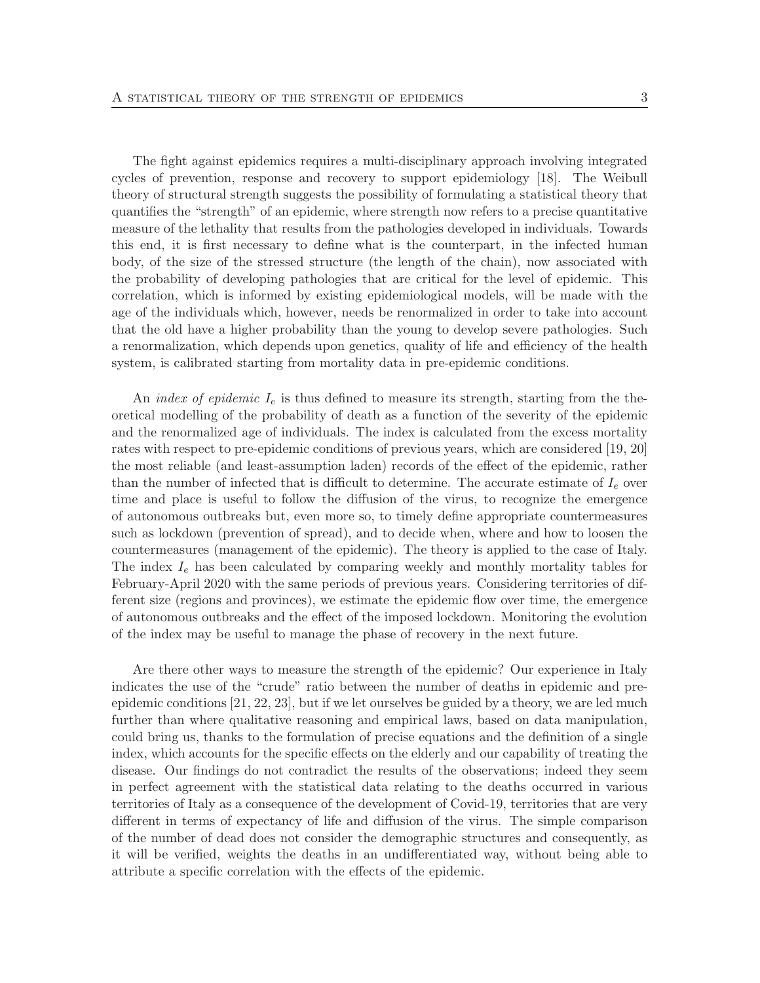The fight against epidemics requires a multi-disciplinary approach involving integrated cycles of prevention, response and recovery to support epidemiology [18]. The Weibull theory of structural strength suggests the possibility of formulating a statistical theory that quantifies the "strength" of an epidemic, where strength now refers to a precise quantitative measure of the lethality that results from the pathologies developed in individuals. Towards this end, it is first necessary to define what is the counterpart, in the infected human body, of the size of the stressed structure (the length of the chain), now associated with the probability of developing pathologies that are critical for the level of epidemic. This correlation, which is informed by existing epidemiological models, will be made with the age of the individuals which, however, needs be renormalized in order to take into account that the old have a higher probability than the young to develop severe pathologies. Such a renormalization, which depends upon genetics, quality of life and efficiency of the health system, is calibrated starting from mortality data in pre-epidemic conditions.

An index of epidemic  $I_e$  is thus defined to measure its strength, starting from the theoretical modelling of the probability of death as a function of the severity of the epidemic and the renormalized age of individuals. The index is calculated from the excess mortality rates with respect to pre-epidemic conditions of previous years, which are considered [19, 20] the most reliable (and least-assumption laden) records of the effect of the epidemic, rather than the number of infected that is difficult to determine. The accurate estimate of  $I_e$  over time and place is useful to follow the diffusion of the virus, to recognize the emergence of autonomous outbreaks but, even more so, to timely define appropriate countermeasures such as lockdown (prevention of spread), and to decide when, where and how to loosen the countermeasures (management of the epidemic). The theory is applied to the case of Italy. The index  $I_e$  has been calculated by comparing weekly and monthly mortality tables for February-April 2020 with the same periods of previous years. Considering territories of different size (regions and provinces), we estimate the epidemic flow over time, the emergence of autonomous outbreaks and the effect of the imposed lockdown. Monitoring the evolution of the index may be useful to manage the phase of recovery in the next future.

Are there other ways to measure the strength of the epidemic? Our experience in Italy indicates the use of the "crude" ratio between the number of deaths in epidemic and preepidemic conditions [21, 22, 23], but if we let ourselves be guided by a theory, we are led much further than where qualitative reasoning and empirical laws, based on data manipulation, could bring us, thanks to the formulation of precise equations and the definition of a single index, which accounts for the specific effects on the elderly and our capability of treating the disease. Our findings do not contradict the results of the observations; indeed they seem in perfect agreement with the statistical data relating to the deaths occurred in various territories of Italy as a consequence of the development of Covid-19, territories that are very different in terms of expectancy of life and diffusion of the virus. The simple comparison of the number of dead does not consider the demographic structures and consequently, as it will be verified, weights the deaths in an undifferentiated way, without being able to attribute a specific correlation with the effects of the epidemic.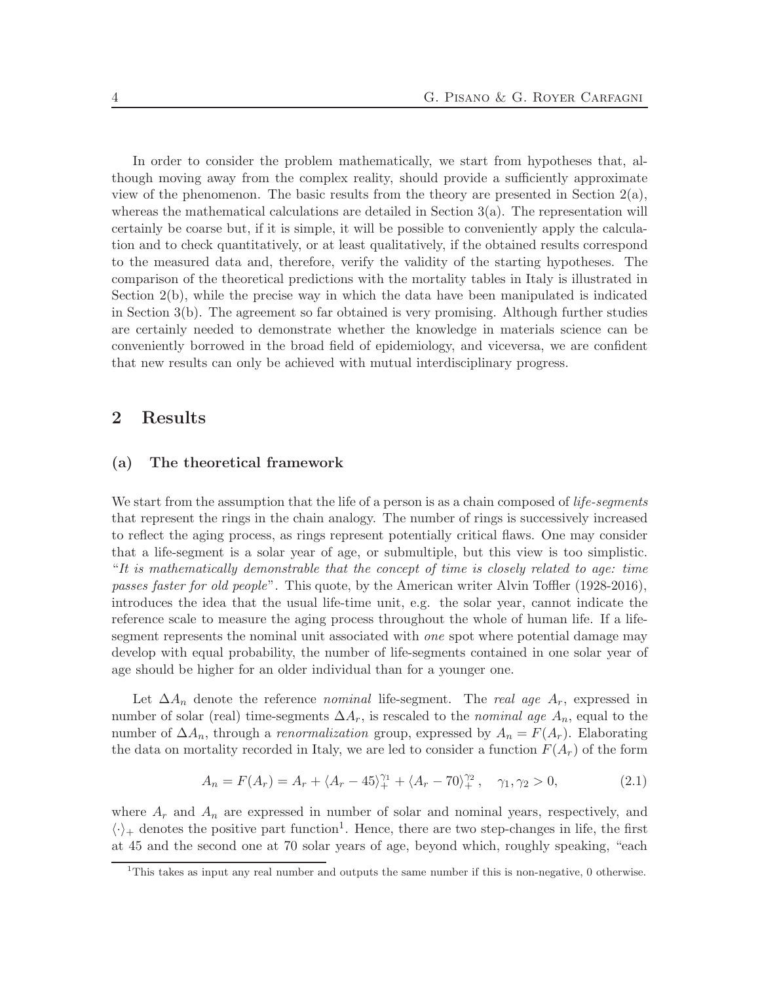In order to consider the problem mathematically, we start from hypotheses that, although moving away from the complex reality, should provide a sufficiently approximate view of the phenomenon. The basic results from the theory are presented in Section  $2(a)$ , whereas the mathematical calculations are detailed in Section  $3(a)$ . The representation will certainly be coarse but, if it is simple, it will be possible to conveniently apply the calculation and to check quantitatively, or at least qualitatively, if the obtained results correspond to the measured data and, therefore, verify the validity of the starting hypotheses. The comparison of the theoretical predictions with the mortality tables in Italy is illustrated in Section 2(b), while the precise way in which the data have been manipulated is indicated in Section 3(b). The agreement so far obtained is very promising. Although further studies are certainly needed to demonstrate whether the knowledge in materials science can be conveniently borrowed in the broad field of epidemiology, and viceversa, we are confident that new results can only be achieved with mutual interdisciplinary progress.

## 2 Results

### (a) The theoretical framework

We start from the assumption that the life of a person is as a chain composed of *life-segments* that represent the rings in the chain analogy. The number of rings is successively increased to reflect the aging process, as rings represent potentially critical flaws. One may consider that a life-segment is a solar year of age, or submultiple, but this view is too simplistic. "It is mathematically demonstrable that the concept of time is closely related to age: time passes faster for old people". This quote, by the American writer Alvin Toffler (1928-2016), introduces the idea that the usual life-time unit, e.g. the solar year, cannot indicate the reference scale to measure the aging process throughout the whole of human life. If a lifesegment represents the nominal unit associated with *one* spot where potential damage may develop with equal probability, the number of life-segments contained in one solar year of age should be higher for an older individual than for a younger one.

Let  $\Delta A_n$  denote the reference nominal life-segment. The real age  $A_r$ , expressed in number of solar (real) time-segments  $\Delta A_r$ , is rescaled to the *nominal age*  $A_n$ , equal to the number of  $\Delta A_n$ , through a *renormalization* group, expressed by  $A_n = F(A_r)$ . Elaborating the data on mortality recorded in Italy, we are led to consider a function  $F(A_r)$  of the form

$$
A_n = F(A_r) = A_r + \langle A_r - 45 \rangle_+^{\gamma_1} + \langle A_r - 70 \rangle_+^{\gamma_2}, \quad \gamma_1, \gamma_2 > 0,
$$
 (2.1)

where  $A_r$  and  $A_n$  are expressed in number of solar and nominal years, respectively, and  $\langle \cdot \rangle_+$  denotes the positive part function<sup>1</sup>. Hence, there are two step-changes in life, the first at 45 and the second one at 70 solar years of age, beyond which, roughly speaking, "each

<sup>&</sup>lt;sup>1</sup>This takes as input any real number and outputs the same number if this is non-negative, 0 otherwise.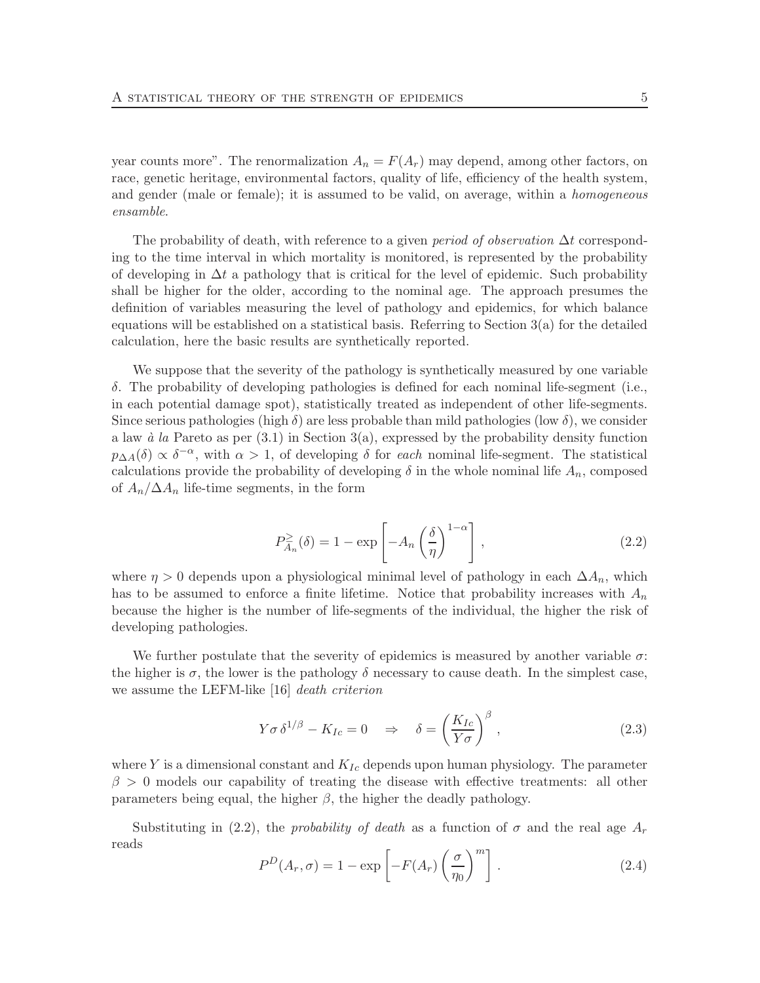year counts more". The renormalization  $A_n = F(A_r)$  may depend, among other factors, on race, genetic heritage, environmental factors, quality of life, efficiency of the health system, and gender (male or female); it is assumed to be valid, on average, within a homogeneous ensamble.

The probability of death, with reference to a given *period of observation*  $\Delta t$  corresponding to the time interval in which mortality is monitored, is represented by the probability of developing in  $\Delta t$  a pathology that is critical for the level of epidemic. Such probability shall be higher for the older, according to the nominal age. The approach presumes the definition of variables measuring the level of pathology and epidemics, for which balance equations will be established on a statistical basis. Referring to Section  $3(a)$  for the detailed calculation, here the basic results are synthetically reported.

We suppose that the severity of the pathology is synthetically measured by one variable δ. The probability of developing pathologies is defined for each nominal life-segment (i.e., in each potential damage spot), statistically treated as independent of other life-segments. Since serious pathologies (high  $\delta$ ) are less probable than mild pathologies (low  $\delta$ ), we consider a law  $\dot{a}$  la Pareto as per (3.1) in Section 3(a), expressed by the probability density function  $p_{\Delta A}(\delta) \propto \delta^{-\alpha}$ , with  $\alpha > 1$ , of developing  $\delta$  for each nominal life-segment. The statistical calculations provide the probability of developing  $\delta$  in the whole nominal life  $A_n$ , composed of  $A_n/\Delta A_n$  life-time segments, in the form

$$
P_{A_n}^{\geq}(\delta) = 1 - \exp\left[-A_n \left(\frac{\delta}{\eta}\right)^{1-\alpha}\right],\tag{2.2}
$$

where  $\eta > 0$  depends upon a physiological minimal level of pathology in each  $\Delta A_n$ , which has to be assumed to enforce a finite lifetime. Notice that probability increases with  $A_n$ because the higher is the number of life-segments of the individual, the higher the risk of developing pathologies.

We further postulate that the severity of epidemics is measured by another variable  $\sigma$ : the higher is  $\sigma$ , the lower is the pathology  $\delta$  necessary to cause death. In the simplest case, we assume the LEFM-like [16] death criterion

$$
Y\sigma\,\delta^{1/\beta} - K_{Ic} = 0 \quad \Rightarrow \quad \delta = \left(\frac{K_{Ic}}{Y\sigma}\right)^{\beta},\tag{2.3}
$$

where Y is a dimensional constant and  $K_{Ic}$  depends upon human physiology. The parameter  $\beta > 0$  models our capability of treating the disease with effective treatments: all other parameters being equal, the higher  $\beta$ , the higher the deadly pathology.

Substituting in (2.2), the probability of death as a function of  $\sigma$  and the real age  $A_r$ reads

$$
P^{D}(A_{r}, \sigma) = 1 - \exp\left[-F(A_{r})\left(\frac{\sigma}{\eta_{0}}\right)^{m}\right].
$$
\n(2.4)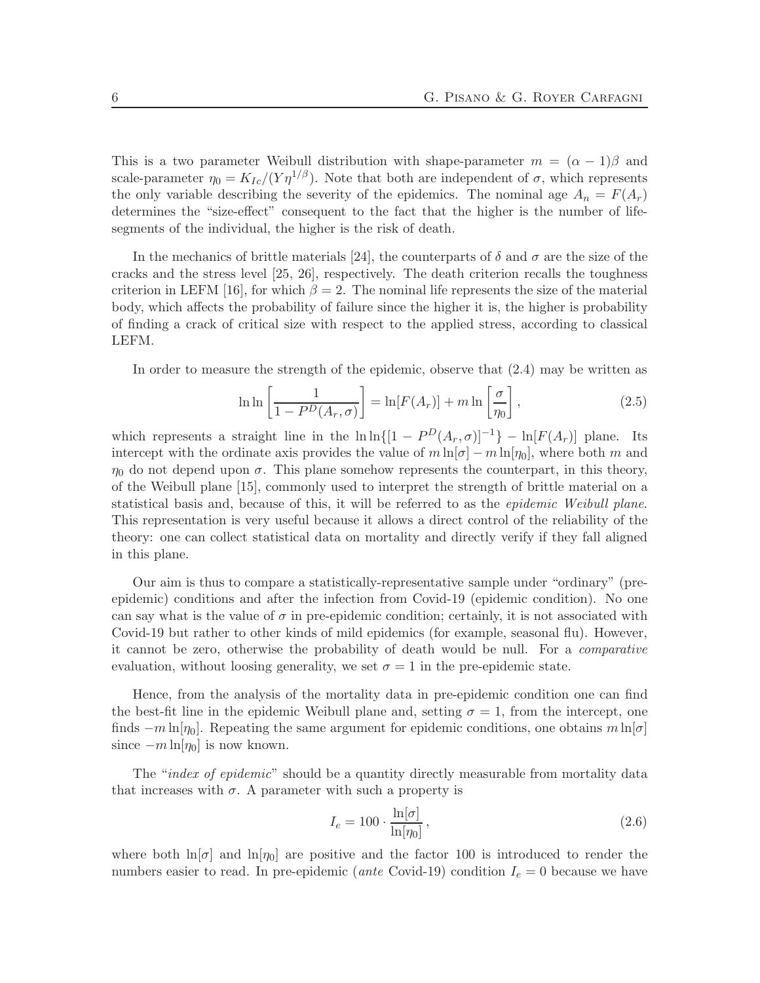This is a two parameter Weibull distribution with shape-parameter  $m = (\alpha - 1)\beta$  and scale-parameter  $\eta_0 = K_{Ic}/(\overline{Y} \eta^{1/\beta})$ . Note that both are independent of  $\sigma$ , which represents the only variable describing the severity of the epidemics. The nominal age  $A_n = F(A_n)$ determines the "size-effect" consequent to the fact that the higher is the number of lifesegments of the individual, the higher is the risk of death.

In the mechanics of brittle materials [24], the counterparts of  $\delta$  and  $\sigma$  are the size of the cracks and the stress level [25, 26], respectively. The death criterion recalls the toughness criterion in LEFM [16], for which  $\beta = 2$ . The nominal life represents the size of the material body, which affects the probability of failure since the higher it is, the higher is probability of finding a crack of critical size with respect to the applied stress, according to classical LEFM.

In order to measure the strength of the epidemic, observe that (2.4) may be written as

$$
\ln \ln \left[ \frac{1}{1 - P^D(A_r, \sigma)} \right] = \ln[F(A_r)] + m \ln \left[ \frac{\sigma}{\eta_0} \right], \tag{2.5}
$$

which represents a straight line in the  $\ln \ln\left[\left[1 - P^{D}(A_{r}, \sigma)\right]^{-1}\right] - \ln[F(A_{r})]$  plane. Its intercept with the ordinate axis provides the value of  $m \ln[\sigma] - m \ln[\eta_0]$ , where both m and  $\eta_0$  do not depend upon  $\sigma$ . This plane somehow represents the counterpart, in this theory, of the Weibull plane [15], commonly used to interpret the strength of brittle material on a statistical basis and, because of this, it will be referred to as the epidemic Weibull plane. This representation is very useful because it allows a direct control of the reliability of the theory: one can collect statistical data on mortality and directly verify if they fall aligned in this plane.

Our aim is thus to compare a statistically-representative sample under "ordinary" (preepidemic) conditions and after the infection from Covid-19 (epidemic condition). No one can say what is the value of  $\sigma$  in pre-epidemic condition; certainly, it is not associated with Covid-19 but rather to other kinds of mild epidemics (for example, seasonal flu). However, it cannot be zero, otherwise the probability of death would be null. For a comparative evaluation, without loosing generality, we set  $\sigma = 1$  in the pre-epidemic state.

Hence, from the analysis of the mortality data in pre-epidemic condition one can find the best-fit line in the epidemic Weibull plane and, setting  $\sigma = 1$ , from the intercept, one finds  $-m \ln[\eta_0]$ . Repeating the same argument for epidemic conditions, one obtains  $m \ln[\sigma]$ since  $-m \ln[\eta_0]$  is now known.

The "*index of epidemic*" should be a quantity directly measurable from mortality data that increases with  $\sigma$ . A parameter with such a property is

$$
I_e = 100 \cdot \frac{\ln[\sigma]}{\ln[\eta_0]},\tag{2.6}
$$

where both  $\ln[\sigma]$  and  $\ln[\eta_0]$  are positive and the factor 100 is introduced to render the numbers easier to read. In pre-epidemic (ante Covid-19) condition  $I_e = 0$  because we have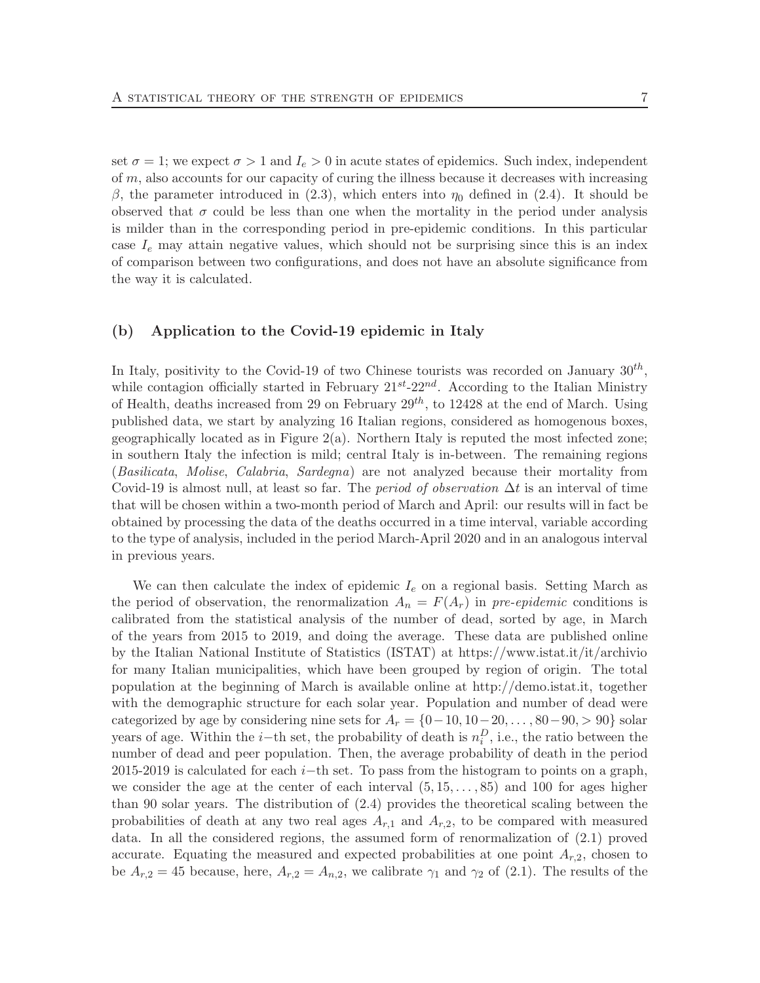set  $\sigma = 1$ ; we expect  $\sigma > 1$  and  $I_e > 0$  in acute states of epidemics. Such index, independent of  $m$ , also accounts for our capacity of curing the illness because it decreases with increasing β, the parameter introduced in (2.3), which enters into  $η_0$  defined in (2.4). It should be observed that  $\sigma$  could be less than one when the mortality in the period under analysis is milder than in the corresponding period in pre-epidemic conditions. In this particular case  $I_e$  may attain negative values, which should not be surprising since this is an index of comparison between two configurations, and does not have an absolute significance from the way it is calculated.

## (b) Application to the Covid-19 epidemic in Italy

In Italy, positivity to the Covid-19 of two Chinese tourists was recorded on January  $30^{th}$ , while contagion officially started in February  $21^{st}$ -22<sup>nd</sup>. According to the Italian Ministry of Health, deaths increased from 29 on February  $29^{th}$ , to 12428 at the end of March. Using published data, we start by analyzing 16 Italian regions, considered as homogenous boxes, geographically located as in Figure  $2(a)$ . Northern Italy is reputed the most infected zone; in southern Italy the infection is mild; central Italy is in-between. The remaining regions (Basilicata, Molise, Calabria, Sardegna) are not analyzed because their mortality from Covid-19 is almost null, at least so far. The *period of observation*  $\Delta t$  is an interval of time that will be chosen within a two-month period of March and April: our results will in fact be obtained by processing the data of the deaths occurred in a time interval, variable according to the type of analysis, included in the period March-April 2020 and in an analogous interval in previous years.

We can then calculate the index of epidemic  $I_e$  on a regional basis. Setting March as the period of observation, the renormalization  $A_n = F(A_r)$  in pre-epidemic conditions is calibrated from the statistical analysis of the number of dead, sorted by age, in March of the years from 2015 to 2019, and doing the average. These data are published online by the Italian National Institute of Statistics (ISTAT) at https://www.istat.it/it/archivio for many Italian municipalities, which have been grouped by region of origin. The total population at the beginning of March is available online at http://demo.istat.it, together with the demographic structure for each solar year. Population and number of dead were categorized by age by considering nine sets for  $A_r = \{0, 10, 10, 20, \ldots, 80, 90\}$  solar years of age. Within the *i*-th set, the probability of death is  $n_i^D$ , i.e., the ratio between the number of dead and peer population. Then, the average probability of death in the period 2015-2019 is calculated for each i–th set. To pass from the histogram to points on a graph, we consider the age at the center of each interval  $(5, 15, \ldots, 85)$  and 100 for ages higher than 90 solar years. The distribution of (2.4) provides the theoretical scaling between the probabilities of death at any two real ages  $A_{r,1}$  and  $A_{r,2}$ , to be compared with measured data. In all the considered regions, the assumed form of renormalization of (2.1) proved accurate. Equating the measured and expected probabilities at one point  $A_{r,2}$ , chosen to be  $A_{r,2} = 45$  because, here,  $A_{r,2} = A_{n,2}$ , we calibrate  $\gamma_1$  and  $\gamma_2$  of (2.1). The results of the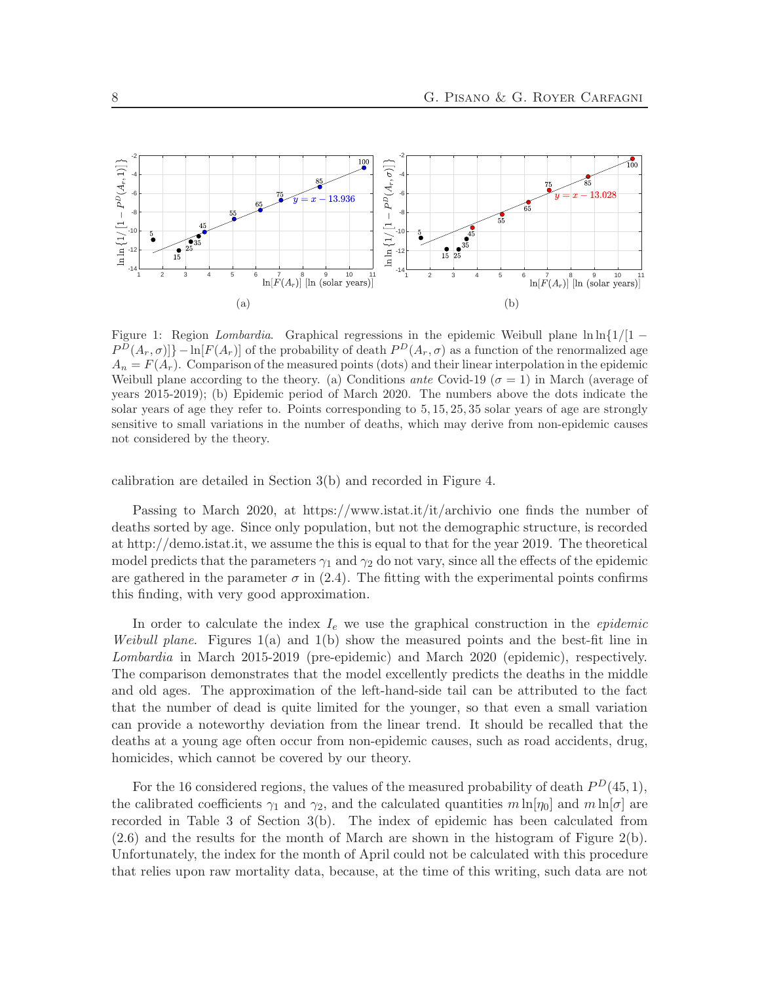

Figure 1: Region Lombardia. Graphical regressions in the epidemic Weibull plane  $\ln\ln\{1/1 - \frac{1}{\ln\{1/1\}}\}$  $P^D(A_r, \sigma)] - \ln[F(A_r)]$  of the probability of death  $P^D(A_r, \sigma)$  as a function of the renormalized age  $A_n = F(A_r)$ . Comparison of the measured points (dots) and their linear interpolation in the epidemic Weibull plane according to the theory. (a) Conditions ante Covid-19 ( $\sigma = 1$ ) in March (average of years 2015-2019); (b) Epidemic period of March 2020. The numbers above the dots indicate the solar years of age they refer to. Points corresponding to 5, 15, 25, 35 solar years of age are strongly sensitive to small variations in the number of deaths, which may derive from non-epidemic causes not considered by the theory.

calibration are detailed in Section 3(b) and recorded in Figure 4.

Passing to March 2020, at https://www.istat.it/it/archivio one finds the number of deaths sorted by age. Since only population, but not the demographic structure, is recorded at http://demo.istat.it, we assume the this is equal to that for the year 2019. The theoretical model predicts that the parameters  $\gamma_1$  and  $\gamma_2$  do not vary, since all the effects of the epidemic are gathered in the parameter  $\sigma$  in (2.4). The fitting with the experimental points confirms this finding, with very good approximation.

In order to calculate the index  $I_e$  we use the graphical construction in the *epidemic Weibull plane.* Figures  $1(a)$  and  $1(b)$  show the measured points and the best-fit line in Lombardia in March 2015-2019 (pre-epidemic) and March 2020 (epidemic), respectively. The comparison demonstrates that the model excellently predicts the deaths in the middle and old ages. The approximation of the left-hand-side tail can be attributed to the fact that the number of dead is quite limited for the younger, so that even a small variation can provide a noteworthy deviation from the linear trend. It should be recalled that the deaths at a young age often occur from non-epidemic causes, such as road accidents, drug, homicides, which cannot be covered by our theory.

For the 16 considered regions, the values of the measured probability of death  $P<sup>D</sup>(45,1)$ , the calibrated coefficients  $\gamma_1$  and  $\gamma_2$ , and the calculated quantities  $m \ln[\eta_0]$  and  $m \ln[\sigma]$  are recorded in Table 3 of Section 3(b). The index of epidemic has been calculated from  $(2.6)$  and the results for the month of March are shown in the histogram of Figure  $2(b)$ . Unfortunately, the index for the month of April could not be calculated with this procedure that relies upon raw mortality data, because, at the time of this writing, such data are not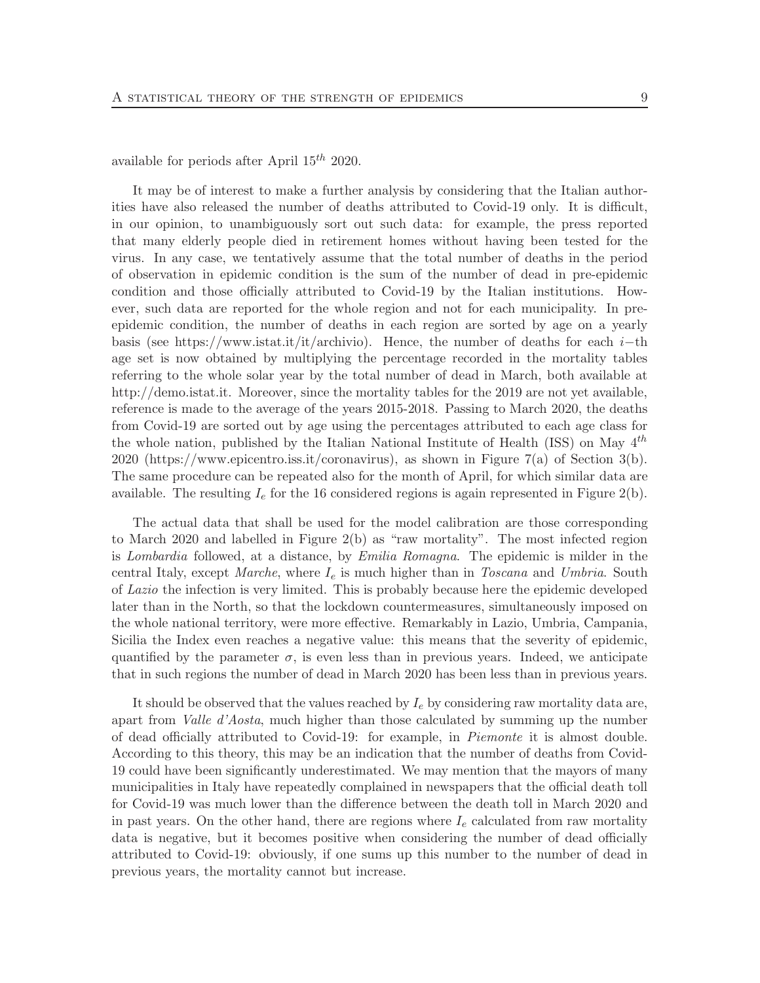available for periods after April  $15^{th}$  2020.

It may be of interest to make a further analysis by considering that the Italian authorities have also released the number of deaths attributed to Covid-19 only. It is difficult, in our opinion, to unambiguously sort out such data: for example, the press reported that many elderly people died in retirement homes without having been tested for the virus. In any case, we tentatively assume that the total number of deaths in the period of observation in epidemic condition is the sum of the number of dead in pre-epidemic condition and those officially attributed to Covid-19 by the Italian institutions. However, such data are reported for the whole region and not for each municipality. In preepidemic condition, the number of deaths in each region are sorted by age on a yearly basis (see https://www.istat.it/it/archivio). Hence, the number of deaths for each  $i$ -th age set is now obtained by multiplying the percentage recorded in the mortality tables referring to the whole solar year by the total number of dead in March, both available at http://demo.istat.it. Moreover, since the mortality tables for the 2019 are not yet available, reference is made to the average of the years 2015-2018. Passing to March 2020, the deaths from Covid-19 are sorted out by age using the percentages attributed to each age class for the whole nation, published by the Italian National Institute of Health (ISS) on May  $4^{th}$ 2020 (https://www.epicentro.iss.it/coronavirus), as shown in Figure 7(a) of Section 3(b). The same procedure can be repeated also for the month of April, for which similar data are available. The resulting  $I_e$  for the 16 considered regions is again represented in Figure 2(b).

The actual data that shall be used for the model calibration are those corresponding to March 2020 and labelled in Figure 2(b) as "raw mortality". The most infected region is Lombardia followed, at a distance, by Emilia Romagna. The epidemic is milder in the central Italy, except Marche, where  $I_e$  is much higher than in Toscana and Umbria. South of Lazio the infection is very limited. This is probably because here the epidemic developed later than in the North, so that the lockdown countermeasures, simultaneously imposed on the whole national territory, were more effective. Remarkably in Lazio, Umbria, Campania, Sicilia the Index even reaches a negative value: this means that the severity of epidemic, quantified by the parameter  $\sigma$ , is even less than in previous years. Indeed, we anticipate that in such regions the number of dead in March 2020 has been less than in previous years.

It should be observed that the values reached by  $I_e$  by considering raw mortality data are, apart from Valle d'Aosta, much higher than those calculated by summing up the number of dead officially attributed to Covid-19: for example, in Piemonte it is almost double. According to this theory, this may be an indication that the number of deaths from Covid-19 could have been significantly underestimated. We may mention that the mayors of many municipalities in Italy have repeatedly complained in newspapers that the official death toll for Covid-19 was much lower than the difference between the death toll in March 2020 and in past years. On the other hand, there are regions where  $I_e$  calculated from raw mortality data is negative, but it becomes positive when considering the number of dead officially attributed to Covid-19: obviously, if one sums up this number to the number of dead in previous years, the mortality cannot but increase.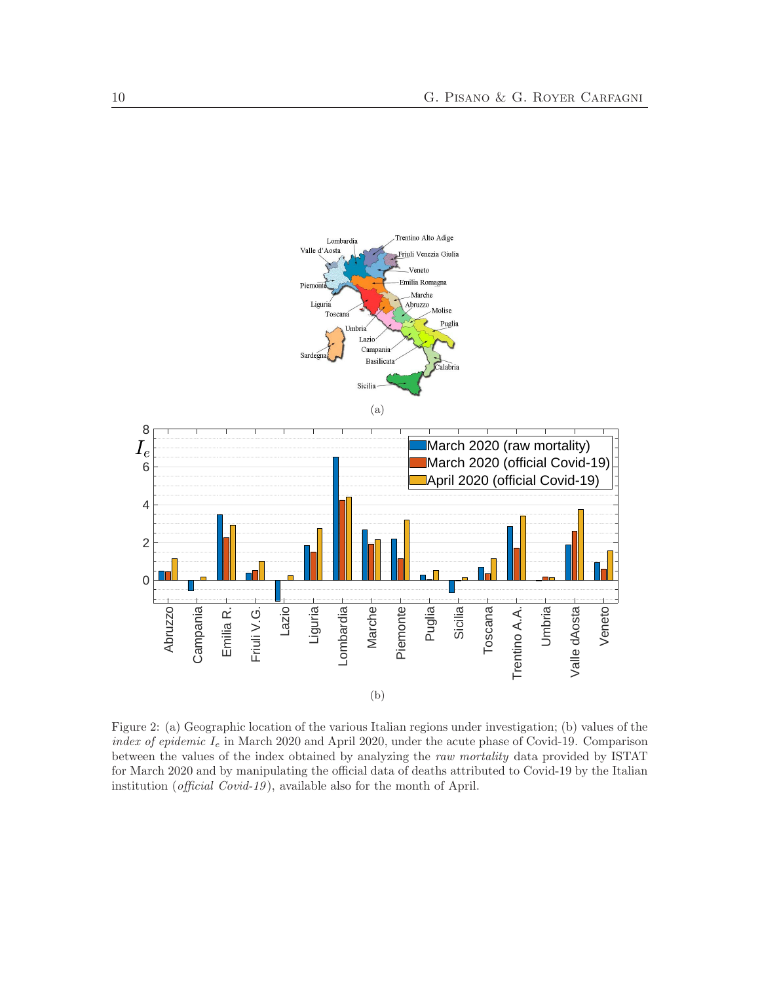

Figure 2: (a) Geographic location of the various Italian regions under investigation; (b) values of the index of epidemic  $I_e$  in March 2020 and April 2020, under the acute phase of Covid-19. Comparison between the values of the index obtained by analyzing the raw mortality data provided by ISTAT for March 2020 and by manipulating the official data of deaths attributed to Covid-19 by the Italian institution (official Covid-19), available also for the month of April.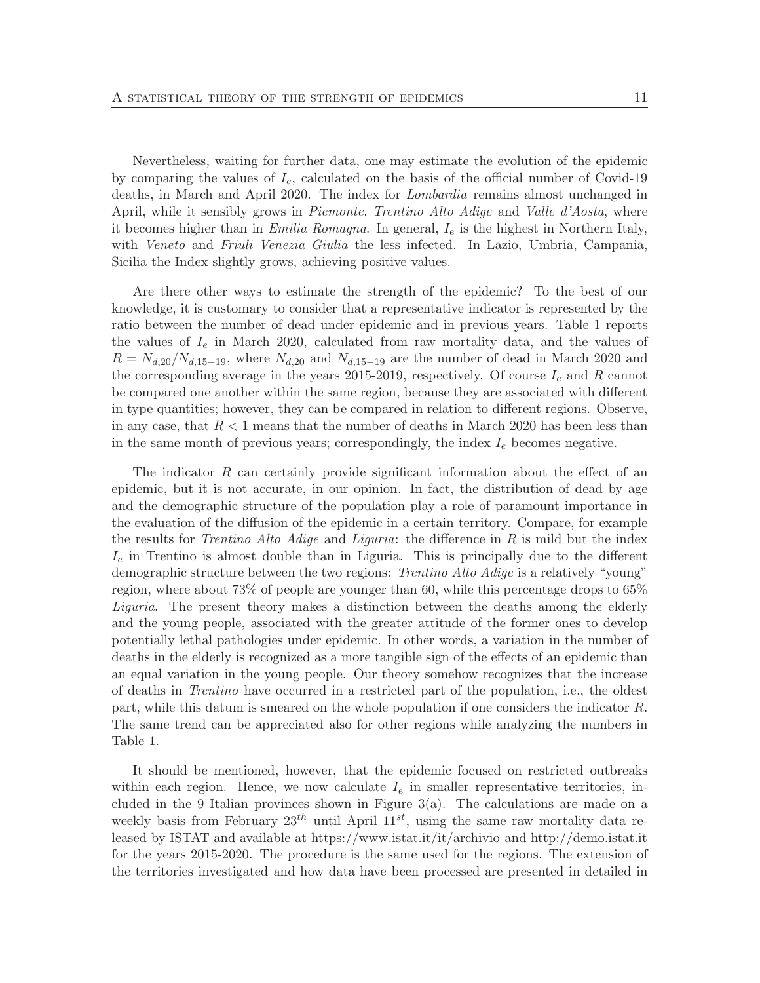Nevertheless, waiting for further data, one may estimate the evolution of the epidemic by comparing the values of  $I_e$ , calculated on the basis of the official number of Covid-19 deaths, in March and April 2020. The index for Lombardia remains almost unchanged in April, while it sensibly grows in *Piemonte*, *Trentino Alto Adige* and *Valle d'Aosta*, where it becomes higher than in Emilia Romagna. In general,  $I_e$  is the highest in Northern Italy, with *Veneto* and *Friuli Venezia Giulia* the less infected. In Lazio, Umbria, Campania, Sicilia the Index slightly grows, achieving positive values.

Are there other ways to estimate the strength of the epidemic? To the best of our knowledge, it is customary to consider that a representative indicator is represented by the ratio between the number of dead under epidemic and in previous years. Table 1 reports the values of  $I_e$  in March 2020, calculated from raw mortality data, and the values of  $R = N_{d,20}/N_{d,15-19}$ , where  $N_{d,20}$  and  $N_{d,15-19}$  are the number of dead in March 2020 and the corresponding average in the years 2015-2019, respectively. Of course  $I_e$  and R cannot be compared one another within the same region, because they are associated with different in type quantities; however, they can be compared in relation to different regions. Observe, in any case, that  $R < 1$  means that the number of deaths in March 2020 has been less than in the same month of previous years; correspondingly, the index  $I<sub>e</sub>$  becomes negative.

The indicator R can certainly provide significant information about the effect of an epidemic, but it is not accurate, in our opinion. In fact, the distribution of dead by age and the demographic structure of the population play a role of paramount importance in the evaluation of the diffusion of the epidemic in a certain territory. Compare, for example the results for *Trentino Alto Adige* and *Liguria*: the difference in R is mild but the index  $I_e$  in Trentino is almost double than in Liguria. This is principally due to the different demographic structure between the two regions: *Trentino Alto Adige* is a relatively "young" region, where about 73% of people are younger than 60, while this percentage drops to 65% Liguria. The present theory makes a distinction between the deaths among the elderly and the young people, associated with the greater attitude of the former ones to develop potentially lethal pathologies under epidemic. In other words, a variation in the number of deaths in the elderly is recognized as a more tangible sign of the effects of an epidemic than an equal variation in the young people. Our theory somehow recognizes that the increase of deaths in Trentino have occurred in a restricted part of the population, i.e., the oldest part, while this datum is smeared on the whole population if one considers the indicator R. The same trend can be appreciated also for other regions while analyzing the numbers in Table 1.

It should be mentioned, however, that the epidemic focused on restricted outbreaks within each region. Hence, we now calculate  $I<sub>e</sub>$  in smaller representative territories, included in the 9 Italian provinces shown in Figure  $3(a)$ . The calculations are made on a weekly basis from February  $23^{th}$  until April  $11^{st}$ , using the same raw mortality data released by ISTAT and available at https://www.istat.it/it/archivio and http://demo.istat.it for the years 2015-2020. The procedure is the same used for the regions. The extension of the territories investigated and how data have been processed are presented in detailed in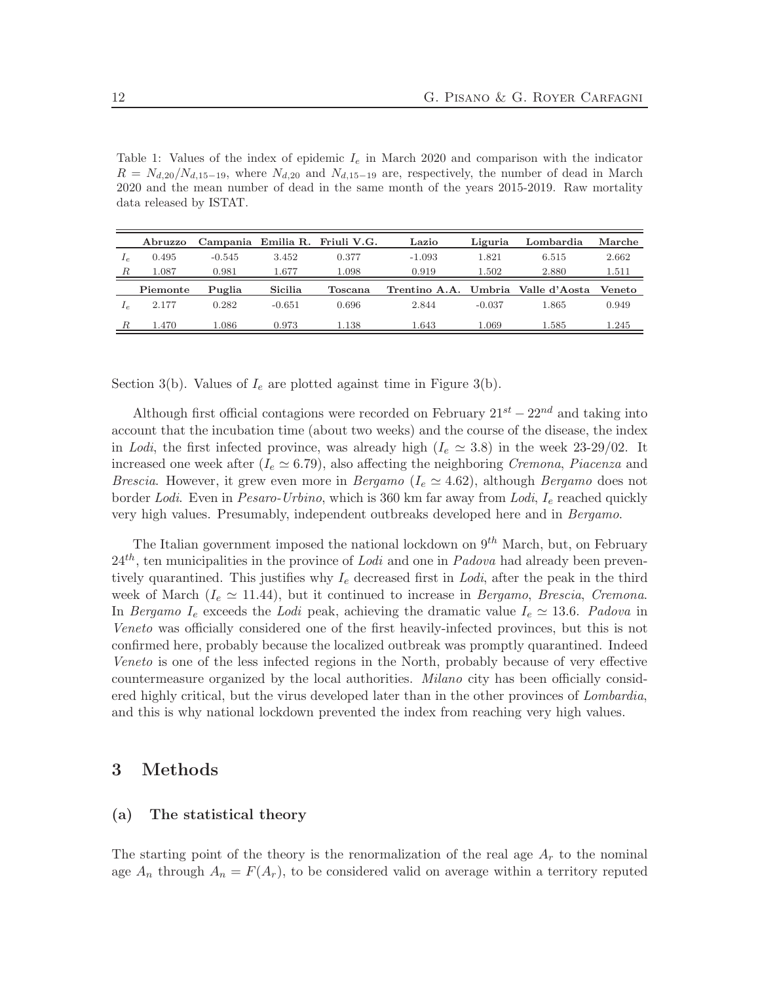Table 1: Values of the index of epidemic  $I_e$  in March 2020 and comparison with the indicator  $R = N_{d,20}/N_{d,15-19}$ , where  $N_{d,20}$  and  $N_{d,15-19}$  are, respectively, the number of dead in March 2020 and the mean number of dead in the same month of the years 2015-2019. Raw mortality data released by ISTAT.

|            | Abruzzo  | Campania |          | Emilia R. Friuli V.G. | Lazio                              | Liguria  | Lombardia | Marche |
|------------|----------|----------|----------|-----------------------|------------------------------------|----------|-----------|--------|
| $I_{\rho}$ | 0.495    | $-0.545$ | 3.452    | 0.377                 | $-1.093$                           | 1.821    | 6.515     | 2.662  |
| R          | 1.087    | 0.981    | 1.677    | 1.098                 | 0.919                              | 1.502    | 2.880     | 1.511  |
|            | Piemonte | Puglia   | Sicilia  | Toscana               | Trentino A.A. Umbria Valle d'Aosta |          |           | Veneto |
|            | 2.177    | 0.282    | $-0.651$ | 0.696                 | 2.844                              | $-0.037$ | 1.865     | 0.949  |
| R          | 1.470    | 1.086    | 0.973    | 1.138                 | 1.643                              | 1.069    | 1.585     | 1.245  |

Section 3(b). Values of  $I_e$  are plotted against time in Figure 3(b).

Although first official contagions were recorded on February  $21^{st} - 22^{nd}$  and taking into account that the incubation time (about two weeks) and the course of the disease, the index in Lodi, the first infected province, was already high ( $I_e \approx 3.8$ ) in the week 23-29/02. It increased one week after ( $I_e \simeq 6.79$ ), also affecting the neighboring Cremona, Piacenza and *Brescia.* However, it grew even more in *Bergamo* ( $I_e \approx 4.62$ ), although *Bergamo* does not border Lodi. Even in Pesaro-Urbino, which is 360 km far away from Lodi, I<sub>e</sub> reached quickly very high values. Presumably, independent outbreaks developed here and in Bergamo.

The Italian government imposed the national lockdown on  $9^{th}$  March, but, on February  $24<sup>th</sup>$ , ten municipalities in the province of *Lodi* and one in *Padova* had already been preventively quarantined. This justifies why  $I_e$  decreased first in Lodi, after the peak in the third week of March ( $I_e \simeq 11.44$ ), but it continued to increase in Bergamo, Brescia, Cremona. In Bergamo I<sub>e</sub> exceeds the Lodi peak, achieving the dramatic value I<sub>e</sub>  $\simeq$  13.6. Padova in Veneto was officially considered one of the first heavily-infected provinces, but this is not confirmed here, probably because the localized outbreak was promptly quarantined. Indeed Veneto is one of the less infected regions in the North, probably because of very effective countermeasure organized by the local authorities. Milano city has been officially considered highly critical, but the virus developed later than in the other provinces of *Lombardia*, and this is why national lockdown prevented the index from reaching very high values.

## 3 Methods

#### (a) The statistical theory

The starting point of the theory is the renormalization of the real age  $A_r$  to the nominal age  $A_n$  through  $A_n = F(A_r)$ , to be considered valid on average within a territory reputed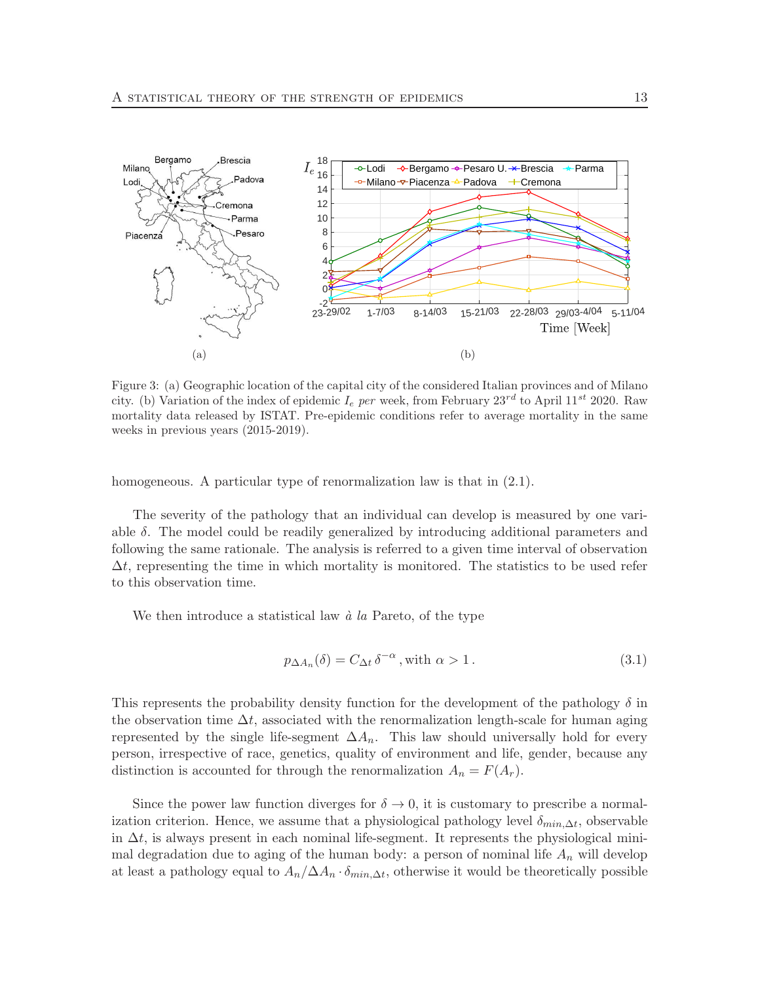

Figure 3: (a) Geographic location of the capital city of the considered Italian provinces and of Milano city. (b) Variation of the index of epidemic  $I_e$  per week, from February  $23^{rd}$  to April  $11^{st}$  2020. Raw mortality data released by ISTAT. Pre-epidemic conditions refer to average mortality in the same weeks in previous years (2015-2019).

homogeneous. A particular type of renormalization law is that in  $(2.1)$ .

The severity of the pathology that an individual can develop is measured by one variable  $\delta$ . The model could be readily generalized by introducing additional parameters and following the same rationale. The analysis is referred to a given time interval of observation  $\Delta t$ , representing the time in which mortality is monitored. The statistics to be used refer to this observation time.

We then introduce a statistical law  $\dot{a}$  la Pareto, of the type

$$
p_{\Delta A_n}(\delta) = C_{\Delta t} \delta^{-\alpha}, \text{ with } \alpha > 1.
$$
\n(3.1)

This represents the probability density function for the development of the pathology  $\delta$  in the observation time  $\Delta t$ , associated with the renormalization length-scale for human aging represented by the single life-segment  $\Delta A_n$ . This law should universally hold for every person, irrespective of race, genetics, quality of environment and life, gender, because any distinction is accounted for through the renormalization  $A_n = F(A_r)$ .

Since the power law function diverges for  $\delta \to 0$ , it is customary to prescribe a normalization criterion. Hence, we assume that a physiological pathology level  $\delta_{min,\Delta t}$ , observable in  $\Delta t$ , is always present in each nominal life-segment. It represents the physiological minimal degradation due to aging of the human body: a person of nominal life  $A_n$  will develop at least a pathology equal to  $A_n/\Delta A_n \cdot \delta_{min,\Delta t}$ , otherwise it would be theoretically possible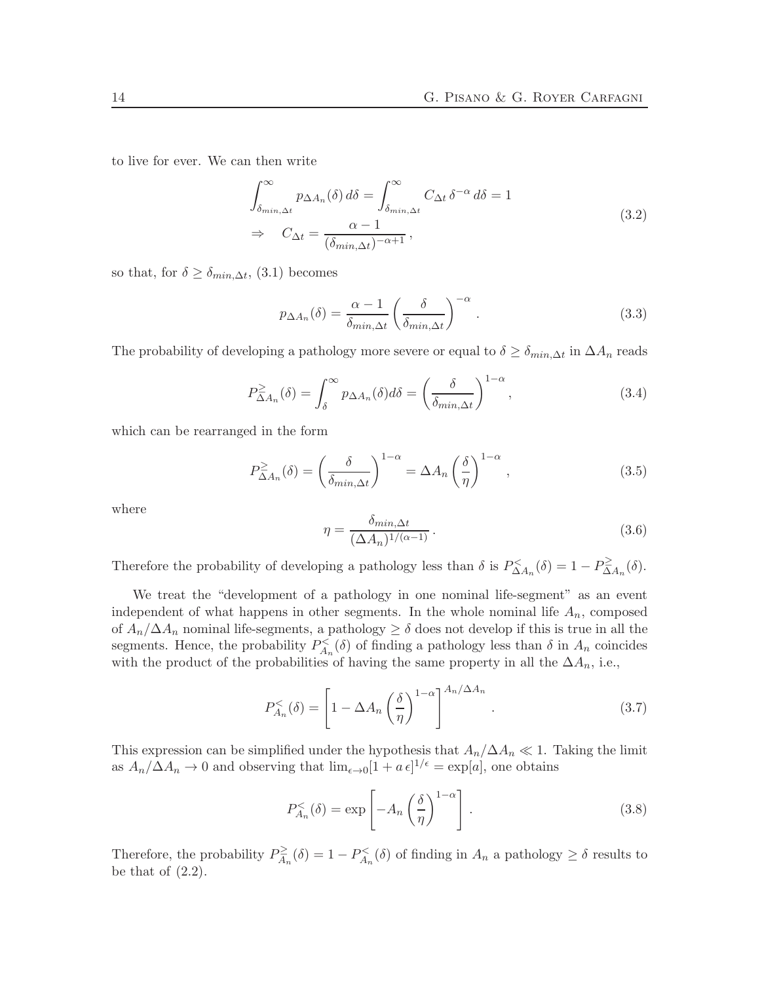to live for ever. We can then write

$$
\int_{\delta_{\min,\Delta t}}^{\infty} p_{\Delta A_n}(\delta) d\delta = \int_{\delta_{\min,\Delta t}}^{\infty} C_{\Delta t} \delta^{-\alpha} d\delta = 1
$$
\n
$$
\Rightarrow \quad C_{\Delta t} = \frac{\alpha - 1}{(\delta_{\min,\Delta t})^{-\alpha + 1}},
$$
\n(3.2)

so that, for  $\delta \geq \delta_{min,\Delta t}$ , (3.1) becomes

$$
p_{\Delta A_n}(\delta) = \frac{\alpha - 1}{\delta_{\min, \Delta t}} \left( \frac{\delta}{\delta_{\min, \Delta t}} \right)^{-\alpha} . \tag{3.3}
$$

The probability of developing a pathology more severe or equal to  $\delta \geq \delta_{min,\Delta t}$  in  $\Delta A_n$  reads

$$
P_{\Delta A_n}^{\geq}(\delta) = \int_{\delta}^{\infty} p_{\Delta A_n}(\delta) d\delta = \left(\frac{\delta}{\delta_{\min,\Delta t}}\right)^{1-\alpha},\tag{3.4}
$$

which can be rearranged in the form

$$
P_{\Delta A_n}^{\geq}(\delta) = \left(\frac{\delta}{\delta_{\min,\Delta t}}\right)^{1-\alpha} = \Delta A_n \left(\frac{\delta}{\eta}\right)^{1-\alpha},\tag{3.5}
$$

where

$$
\eta = \frac{\delta_{\min,\Delta t}}{(\Delta A_n)^{1/(\alpha - 1)}}.
$$
\n(3.6)

Therefore the probability of developing a pathology less than  $\delta$  is  $P_{\Delta A_n}^{\lt}(\delta) = 1 - P_{\Delta}^{\geq}$  $\sum_{\Delta A_n}^{\infty}(\delta).$ 

We treat the "development of a pathology in one nominal life-segment" as an event independent of what happens in other segments. In the whole nominal life  $A_n$ , composed of  $A_n/\Delta A_n$  nominal life-segments, a pathology  $\geq \delta$  does not develop if this is true in all the segments. Hence, the probability  $P_{A_n}^{\lt}(\delta)$  of finding a pathology less than  $\delta$  in  $A_n$  coincides with the product of the probabilities of having the same property in all the  $\Delta A_n$ , i.e.,

$$
P_{A_n}^{&}( \delta ) = \left[ 1 - \Delta A_n \left( \frac{\delta}{\eta} \right)^{1-\alpha} \right]^{A_n/\Delta A_n} . \tag{3.7}
$$

This expression can be simplified under the hypothesis that  $A_n/\Delta A_n \ll 1$ . Taking the limit as  $A_n/\Delta A_n \to 0$  and observing that  $\lim_{\epsilon \to 0} [1 + a \epsilon]^{1/\epsilon} = \exp[a]$ , one obtains

$$
P_{A_n}^{&}( \delta ) = \exp \left[ -A_n \left( \frac{\delta}{\eta} \right)^{1-\alpha} \right]. \tag{3.8}
$$

Therefore, the probability  $P_{A}^{\geq}$  $A_{n}^{\geq}(\delta) = 1 - P_{A_{n}}^{<}(\delta)$  of finding in  $A_{n}$  a pathology  $\geq \delta$  results to be that of  $(2.2)$ .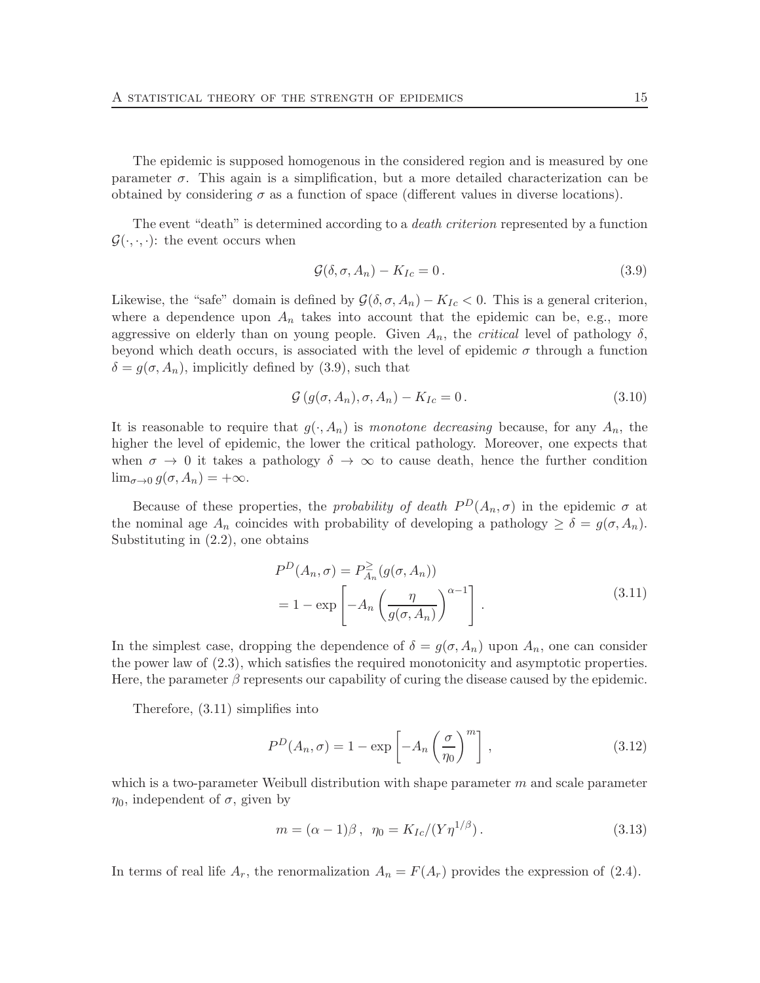The epidemic is supposed homogenous in the considered region and is measured by one parameter  $\sigma$ . This again is a simplification, but a more detailed characterization can be obtained by considering  $\sigma$  as a function of space (different values in diverse locations).

The event "death" is determined according to a death criterion represented by a function  $\mathcal{G}(\cdot,\cdot,\cdot)$ : the event occurs when

$$
\mathcal{G}(\delta, \sigma, A_n) - K_{Ic} = 0. \tag{3.9}
$$

Likewise, the "safe" domain is defined by  $\mathcal{G}(\delta, \sigma, A_n) - K_{Ic} < 0$ . This is a general criterion, where a dependence upon  $A_n$  takes into account that the epidemic can be, e.g., more aggressive on elderly than on young people. Given  $A_n$ , the *critical* level of pathology  $\delta$ , beyond which death occurs, is associated with the level of epidemic  $\sigma$  through a function  $\delta = g(\sigma, A_n)$ , implicitly defined by (3.9), such that

$$
\mathcal{G}\left(g(\sigma, A_n), \sigma, A_n\right) - K_{Ic} = 0. \tag{3.10}
$$

It is reasonable to require that  $g(\cdot, A_n)$  is monotone decreasing because, for any  $A_n$ , the higher the level of epidemic, the lower the critical pathology. Moreover, one expects that when  $\sigma \to 0$  it takes a pathology  $\delta \to \infty$  to cause death, hence the further condition  $\lim_{\sigma \to 0} g(\sigma, A_n) = +\infty.$ 

Because of these properties, the *probability of death*  $P^D(A_n, \sigma)$  in the epidemic  $\sigma$  at the nominal age  $A_n$  coincides with probability of developing a pathology  $\geq \delta = g(\sigma, A_n)$ . Substituting in (2.2), one obtains

$$
P^{D}(A_{n}, \sigma) = P_{A_{n}}^{\geq}(g(\sigma, A_{n}))
$$
  
= 1 - exp  $\left[-A_{n}\left(\frac{\eta}{g(\sigma, A_{n})}\right)^{\alpha-1}\right]$ . (3.11)

In the simplest case, dropping the dependence of  $\delta = g(\sigma, A_n)$  upon  $A_n$ , one can consider the power law of (2.3), which satisfies the required monotonicity and asymptotic properties. Here, the parameter  $\beta$  represents our capability of curing the disease caused by the epidemic.

Therefore, (3.11) simplifies into

$$
P^{D}(A_n, \sigma) = 1 - \exp\left[-A_n \left(\frac{\sigma}{\eta_0}\right)^m\right],
$$
\n(3.12)

which is a two-parameter Weibull distribution with shape parameter  $m$  and scale parameter  $\eta_0$ , independent of  $\sigma$ , given by

$$
m = (\alpha - 1)\beta \,, \ \eta_0 = K_{Ic}/(Y\eta^{1/\beta}) \,. \tag{3.13}
$$

In terms of real life  $A_r$ , the renormalization  $A_n = F(A_r)$  provides the expression of (2.4).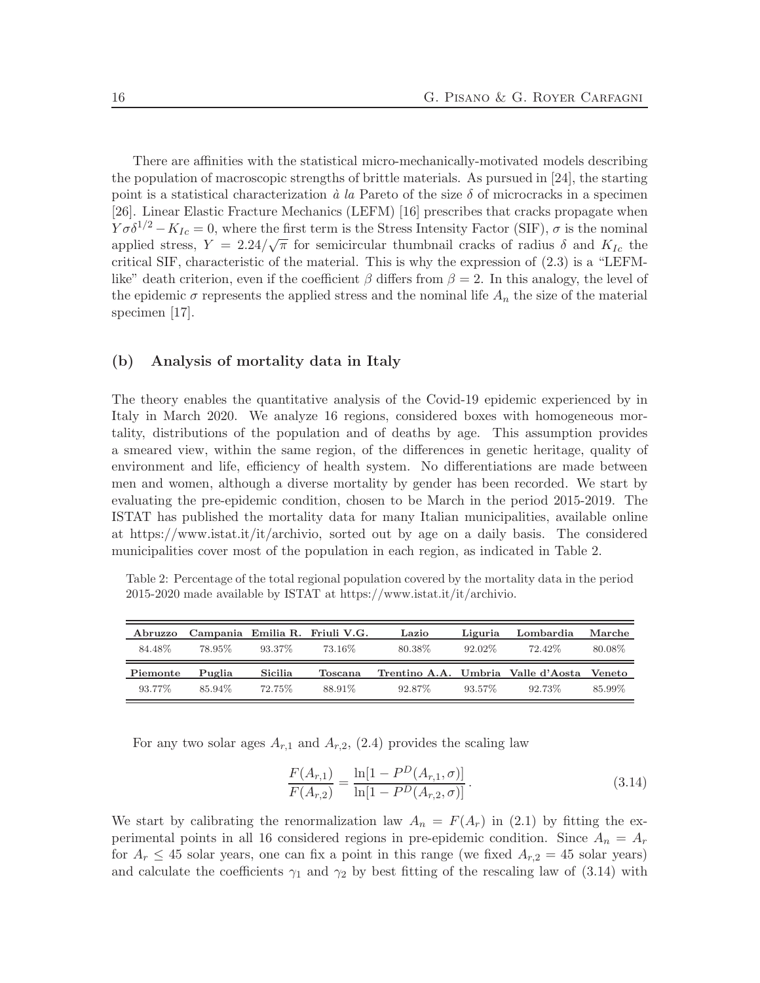There are affinities with the statistical micro-mechanically-motivated models describing the population of macroscopic strengths of brittle materials. As pursued in [24], the starting point is a statistical characterization  $\dot{a}$  la Pareto of the size  $\delta$  of microcracks in a specimen [26]. Linear Elastic Fracture Mechanics (LEFM) [16] prescribes that cracks propagate when  $Y\sigma\delta^{1/2} - K_{Ic} = 0$ , where the first term is the Stress Intensity Factor (SIF),  $\sigma$  is the nominal applied stress,  $Y = 2.24/\sqrt{\pi}$  for semicircular thumbnail cracks of radius  $\delta$  and  $K_{Ic}$  the critical SIF, characteristic of the material. This is why the expression of (2.3) is a "LEFMlike" death criterion, even if the coefficient  $\beta$  differs from  $\beta = 2$ . In this analogy, the level of the epidemic  $\sigma$  represents the applied stress and the nominal life  $A_n$  the size of the material specimen [17].

## (b) Analysis of mortality data in Italy

The theory enables the quantitative analysis of the Covid-19 epidemic experienced by in Italy in March 2020. We analyze 16 regions, considered boxes with homogeneous mortality, distributions of the population and of deaths by age. This assumption provides a smeared view, within the same region, of the differences in genetic heritage, quality of environment and life, efficiency of health system. No differentiations are made between men and women, although a diverse mortality by gender has been recorded. We start by evaluating the pre-epidemic condition, chosen to be March in the period 2015-2019. The ISTAT has published the mortality data for many Italian municipalities, available online at https://www.istat.it/it/archivio, sorted out by age on a daily basis. The considered municipalities cover most of the population in each region, as indicated in Table 2.

Table 2: Percentage of the total regional population covered by the mortality data in the period 2015-2020 made available by ISTAT at https://www.istat.it/it/archivio.

| Abruzzo  |        |         | Campania Emilia R. Friuli V.G. | Lazio                                     | Liguria   | Lombardia | Marche  |
|----------|--------|---------|--------------------------------|-------------------------------------------|-----------|-----------|---------|
| 84.48%   | 78.95% | 93.37\% | 73.16%                         | 80.38%                                    | $92.02\%$ | 72.42%    | 80.08\% |
|          |        |         |                                |                                           |           |           |         |
| Piemonte | Puglia | Sicilia | Toscana                        | Trentino A.A. Umbria Valle d'Aosta Veneto |           |           |         |

For any two solar ages  $A_{r,1}$  and  $A_{r,2}$ , (2.4) provides the scaling law

$$
\frac{F(A_{r,1})}{F(A_{r,2})} = \frac{\ln[1 - P^D(A_{r,1}, \sigma)]}{\ln[1 - P^D(A_{r,2}, \sigma)]}.
$$
\n(3.14)

We start by calibrating the renormalization law  $A_n = F(A_r)$  in (2.1) by fitting the experimental points in all 16 considered regions in pre-epidemic condition. Since  $A_n = A_r$ for  $A_r \leq 45$  solar years, one can fix a point in this range (we fixed  $A_{r,2} = 45$  solar years) and calculate the coefficients  $\gamma_1$  and  $\gamma_2$  by best fitting of the rescaling law of (3.14) with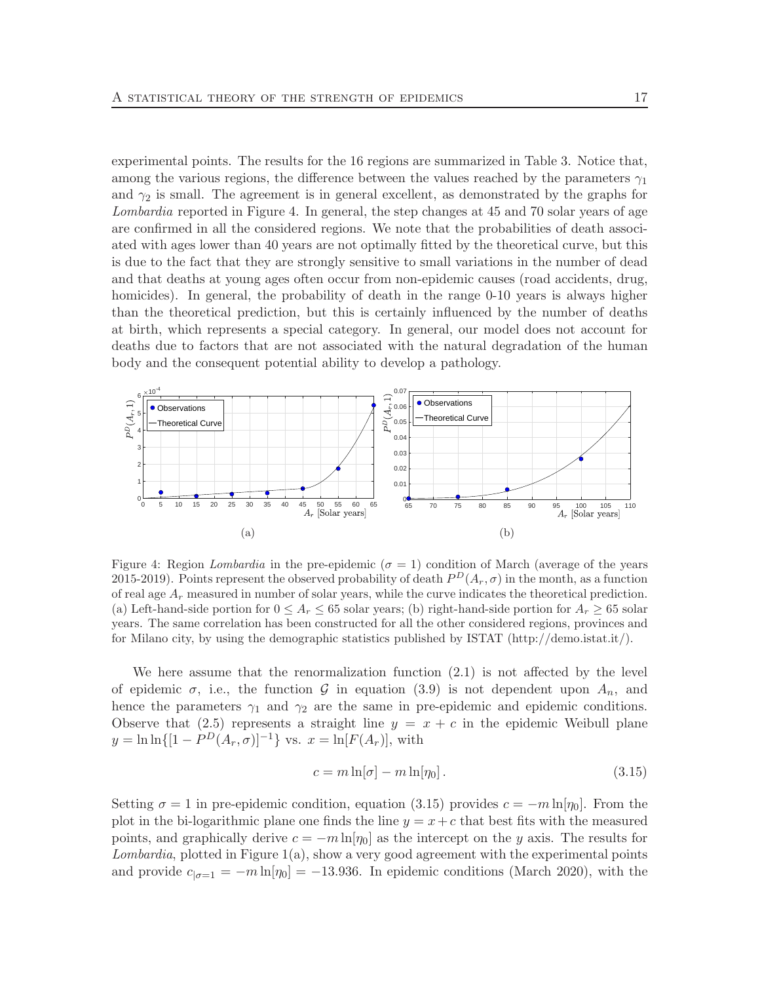experimental points. The results for the 16 regions are summarized in Table 3. Notice that, among the various regions, the difference between the values reached by the parameters  $\gamma_1$ and  $\gamma_2$  is small. The agreement is in general excellent, as demonstrated by the graphs for Lombardia reported in Figure 4. In general, the step changes at 45 and 70 solar years of age are confirmed in all the considered regions. We note that the probabilities of death associated with ages lower than 40 years are not optimally fitted by the theoretical curve, but this is due to the fact that they are strongly sensitive to small variations in the number of dead and that deaths at young ages often occur from non-epidemic causes (road accidents, drug, homicides). In general, the probability of death in the range 0-10 years is always higher than the theoretical prediction, but this is certainly influenced by the number of deaths at birth, which represents a special category. In general, our model does not account for deaths due to factors that are not associated with the natural degradation of the human body and the consequent potential ability to develop a pathology.



Figure 4: Region Lombardia in the pre-epidemic ( $\sigma = 1$ ) condition of March (average of the years 2015-2019). Points represent the observed probability of death  $P<sup>D</sup>(A<sub>r</sub>, \sigma)$  in the month, as a function of real age  $A_r$  measured in number of solar years, while the curve indicates the theoretical prediction. (a) Left-hand-side portion for  $0 \leq A_r \leq 65$  solar years; (b) right-hand-side portion for  $A_r \geq 65$  solar years. The same correlation has been constructed for all the other considered regions, provinces and for Milano city, by using the demographic statistics published by ISTAT (http://demo.istat.it/).

We here assume that the renormalization function (2.1) is not affected by the level of epidemic  $\sigma$ , i.e., the function  $\mathcal G$  in equation (3.9) is not dependent upon  $A_n$ , and hence the parameters  $\gamma_1$  and  $\gamma_2$  are the same in pre-epidemic and epidemic conditions. Observe that (2.5) represents a straight line  $y = x + c$  in the epidemic Weibull plane  $y = \ln \ln\{[1 - P^D(A_r, \sigma)]^{-1}\}$  vs.  $x = \ln[F(A_r)],$  with

$$
c = m \ln[\sigma] - m \ln[\eta_0]. \tag{3.15}
$$

Setting  $\sigma = 1$  in pre-epidemic condition, equation (3.15) provides  $c = -m \ln[\eta_0]$ . From the plot in the bi-logarithmic plane one finds the line  $y = x + c$  that best fits with the measured points, and graphically derive  $c = -m \ln[\eta_0]$  as the intercept on the y axis. The results for Lombardia, plotted in Figure 1(a), show a very good agreement with the experimental points and provide  $c_{|\sigma=1} = -m \ln[\eta_0] = -13.936$ . In epidemic conditions (March 2020), with the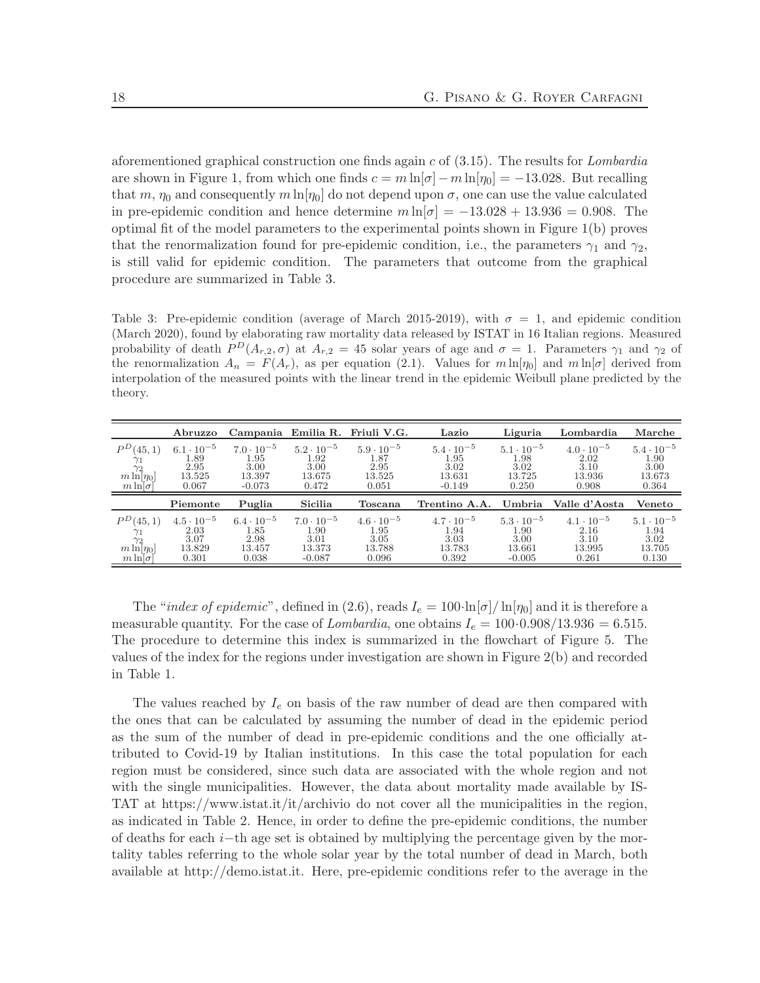aforementioned graphical construction one finds again  $c$  of  $(3.15)$ . The results for *Lombardia* are shown in Figure 1, from which one finds  $c = m \ln[\sigma] - m \ln[\eta_0] = -13.028$ . But recalling that m,  $\eta_0$  and consequently m ln[ $\eta_0$ ] do not depend upon  $\sigma$ , one can use the value calculated in pre-epidemic condition and hence determine  $m \ln[\sigma] = -13.028 + 13.936 = 0.908$ . The optimal fit of the model parameters to the experimental points shown in Figure 1(b) proves that the renormalization found for pre-epidemic condition, i.e., the parameters  $\gamma_1$  and  $\gamma_2$ , is still valid for epidemic condition. The parameters that outcome from the graphical procedure are summarized in Table 3.

Table 3: Pre-epidemic condition (average of March 2015-2019), with  $\sigma = 1$ , and epidemic condition (March 2020), found by elaborating raw mortality data released by ISTAT in 16 Italian regions. Measured probability of death  $P^{D}(A_{r,2}, \sigma)$  at  $A_{r,2} = 45$  solar years of age and  $\sigma = 1$ . Parameters  $\gamma_1$  and  $\gamma_2$  of the renormalization  $A_n = F(A_r)$ , as per equation (2.1). Values for  $m \ln[\eta_0]$  and  $m \ln[\sigma]$  derived from interpolation of the measured points with the linear trend in the epidemic Weibull plane predicted by the theory.

|                                                                                    | Abruzzo                                                       |                                                               |                                                                  | Campania Emilia R. Friuli V.G.                         | Lazio                                                     | Liguria                                                   | Lombardia                                              | Marche                                                 |
|------------------------------------------------------------------------------------|---------------------------------------------------------------|---------------------------------------------------------------|------------------------------------------------------------------|--------------------------------------------------------|-----------------------------------------------------------|-----------------------------------------------------------|--------------------------------------------------------|--------------------------------------------------------|
| $P^{D}(45,1)$<br>$\frac{\gamma_1}{m \ln[\eta_0]}$<br>$m \ln  \sigma $              | $6.1 \cdot 10^{-5}$<br>1.89<br>2.95<br>13.525<br>0.067        | $7.0 \cdot 10^{-5}$<br>1.95<br>3.00<br>13.397<br>$-0.073$     | $5.2 \cdot 10^{-5}$<br>1.92<br>3.00<br>13.675<br>0.472           | $5.9 \cdot 10^{-5}$<br>1.87<br>2.95<br>13.525<br>0.051 | $5.4 \cdot 10^{-5}$<br>1.95<br>3.02<br>13.631<br>$-0.149$ | $5.1 \cdot 10^{-5}$<br>1.98<br>3.02<br>13.725<br>0.250    | $4.0 \cdot 10^{-5}$<br>2.02<br>3.10<br>13.936<br>0.908 | $5.4 \cdot 10^{-5}$<br>1.90<br>3.00<br>13.673<br>0.364 |
|                                                                                    | Piemonte                                                      | Puglia                                                        | Sicilia                                                          | Toscana                                                | Trentino A.A.                                             | Umbria                                                    | Valle d'Aosta                                          | Veneto                                                 |
| $P^{D}(45,1)$<br>$\gamma_1 \over \gamma_2 \over m \ln[\eta_0]$<br>$m \ln  \sigma $ | $4.5 \cdot 10^{-5}$<br>$\frac{2.03}{3.07}$<br>13.829<br>0.301 | $6.4 \cdot 10^{-5}$<br>$\frac{1.85}{2.98}$<br>13.457<br>0.038 | $7.0 \cdot 10^{-5}$<br>$\frac{1.90}{3.01}$<br>13.373<br>$-0.087$ | $4.6 \cdot 10^{-5}$<br>1.95<br>3.05<br>13.788<br>0.096 | $4.7 \cdot 10^{-5}$<br>1.94<br>3.03<br>13.783<br>0.392    | $5.3 \cdot 10^{-5}$<br>1.90<br>3.00<br>13.661<br>$-0.005$ | $4.1 \cdot 10^{-5}$<br>2.16<br>3.10<br>13.995<br>0.261 | $5.1 \cdot 10^{-5}$<br>1.94<br>3.02<br>13.705<br>0.130 |

The "index of epidemic", defined in (2.6), reads  $I_e = 100 \cdot \ln[\sigma] / \ln[\eta_0]$  and it is therefore a measurable quantity. For the case of Lombardia, one obtains  $I_e = 100 \cdot 0.908/13.936 = 6.515$ . The procedure to determine this index is summarized in the flowchart of Figure 5. The values of the index for the regions under investigation are shown in Figure 2(b) and recorded in Table 1.

The values reached by  $I_e$  on basis of the raw number of dead are then compared with the ones that can be calculated by assuming the number of dead in the epidemic period as the sum of the number of dead in pre-epidemic conditions and the one officially attributed to Covid-19 by Italian institutions. In this case the total population for each region must be considered, since such data are associated with the whole region and not with the single municipalities. However, the data about mortality made available by IS-TAT at https://www.istat.it/it/archivio do not cover all the municipalities in the region, as indicated in Table 2. Hence, in order to define the pre-epidemic conditions, the number of deaths for each i−th age set is obtained by multiplying the percentage given by the mortality tables referring to the whole solar year by the total number of dead in March, both available at http://demo.istat.it. Here, pre-epidemic conditions refer to the average in the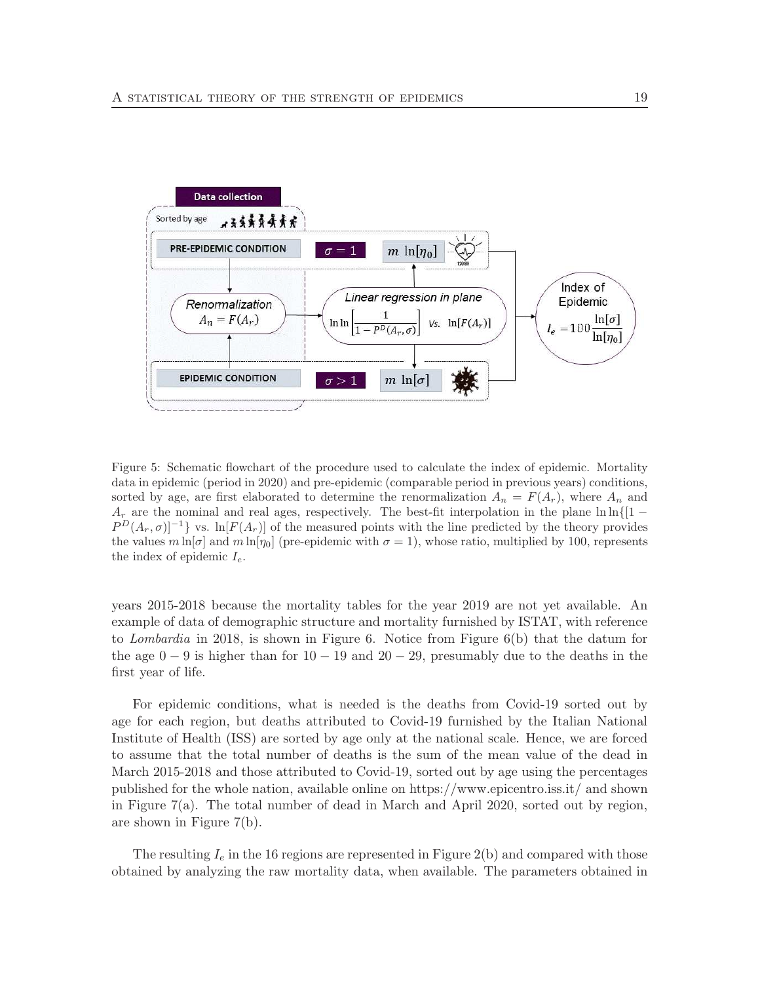

Figure 5: Schematic flowchart of the procedure used to calculate the index of epidemic. Mortality data in epidemic (period in 2020) and pre-epidemic (comparable period in previous years) conditions, sorted by age, are first elaborated to determine the renormalization  $A_n = F(A_r)$ , where  $A_n$  and  $A_r$  are the nominal and real ages, respectively. The best-fit interpolation in the plane ln ln{[1 –  $P^{D}(A_r, \sigma)^{-1}$  vs. ln[ $F(A_r)$ ] of the measured points with the line predicted by the theory provides the values  $m \ln[\sigma]$  and  $m \ln[\eta_0]$  (pre-epidemic with  $\sigma = 1$ ), whose ratio, multiplied by 100, represents the index of epidemic  $I_e$ .

years 2015-2018 because the mortality tables for the year 2019 are not yet available. An example of data of demographic structure and mortality furnished by ISTAT, with reference to Lombardia in 2018, is shown in Figure 6. Notice from Figure  $6(b)$  that the datum for the age  $0 - 9$  is higher than for  $10 - 19$  and  $20 - 29$ , presumably due to the deaths in the first year of life.

For epidemic conditions, what is needed is the deaths from Covid-19 sorted out by age for each region, but deaths attributed to Covid-19 furnished by the Italian National Institute of Health (ISS) are sorted by age only at the national scale. Hence, we are forced to assume that the total number of deaths is the sum of the mean value of the dead in March 2015-2018 and those attributed to Covid-19, sorted out by age using the percentages published for the whole nation, available online on https://www.epicentro.iss.it/ and shown in Figure 7(a). The total number of dead in March and April 2020, sorted out by region, are shown in Figure 7(b).

The resulting  $I_e$  in the 16 regions are represented in Figure 2(b) and compared with those obtained by analyzing the raw mortality data, when available. The parameters obtained in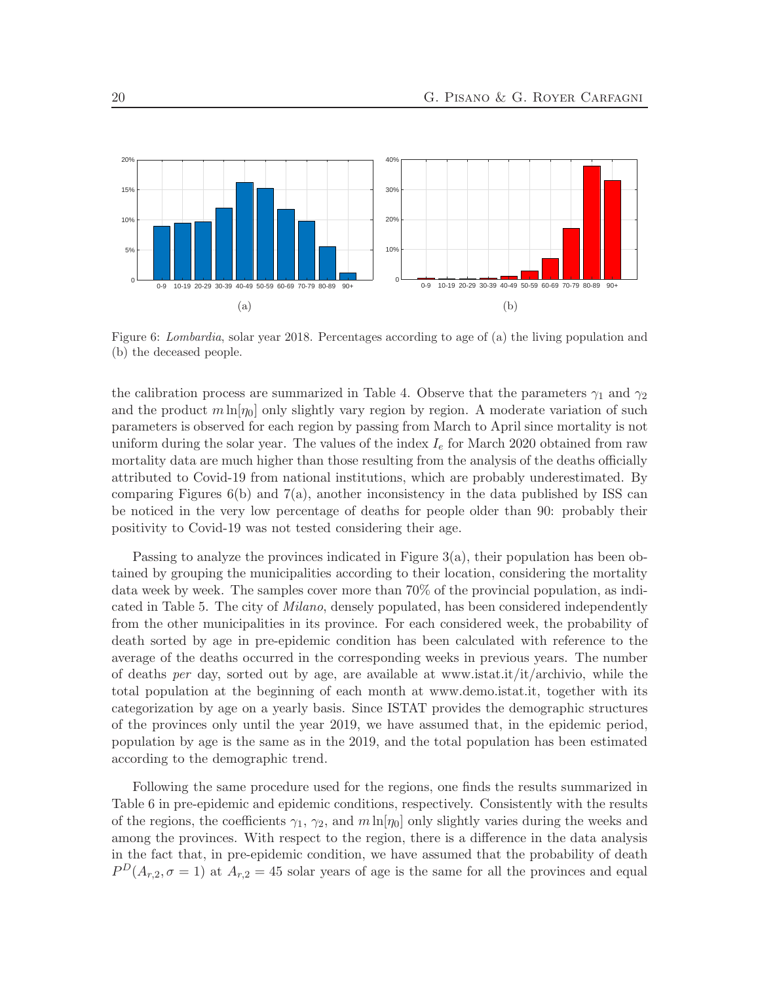

Figure 6: Lombardia, solar year 2018. Percentages according to age of (a) the living population and (b) the deceased people.

the calibration process are summarized in Table 4. Observe that the parameters  $\gamma_1$  and  $\gamma_2$ and the product  $m \ln[\eta_0]$  only slightly vary region by region. A moderate variation of such parameters is observed for each region by passing from March to April since mortality is not uniform during the solar year. The values of the index  $I_e$  for March 2020 obtained from raw mortality data are much higher than those resulting from the analysis of the deaths officially attributed to Covid-19 from national institutions, which are probably underestimated. By comparing Figures  $6(b)$  and  $7(a)$ , another inconsistency in the data published by ISS can be noticed in the very low percentage of deaths for people older than 90: probably their positivity to Covid-19 was not tested considering their age.

Passing to analyze the provinces indicated in Figure  $3(a)$ , their population has been obtained by grouping the municipalities according to their location, considering the mortality data week by week. The samples cover more than 70% of the provincial population, as indicated in Table 5. The city of *Milano*, densely populated, has been considered independently from the other municipalities in its province. For each considered week, the probability of death sorted by age in pre-epidemic condition has been calculated with reference to the average of the deaths occurred in the corresponding weeks in previous years. The number of deaths per day, sorted out by age, are available at www.istat.it/it/archivio, while the total population at the beginning of each month at www.demo.istat.it, together with its categorization by age on a yearly basis. Since ISTAT provides the demographic structures of the provinces only until the year 2019, we have assumed that, in the epidemic period, population by age is the same as in the 2019, and the total population has been estimated according to the demographic trend.

Following the same procedure used for the regions, one finds the results summarized in Table 6 in pre-epidemic and epidemic conditions, respectively. Consistently with the results of the regions, the coefficients  $\gamma_1$ ,  $\gamma_2$ , and  $m \ln[\eta_0]$  only slightly varies during the weeks and among the provinces. With respect to the region, there is a difference in the data analysis in the fact that, in pre-epidemic condition, we have assumed that the probability of death  $P^{D}(A_{r,2}, \sigma=1)$  at  $A_{r,2}=45$  solar years of age is the same for all the provinces and equal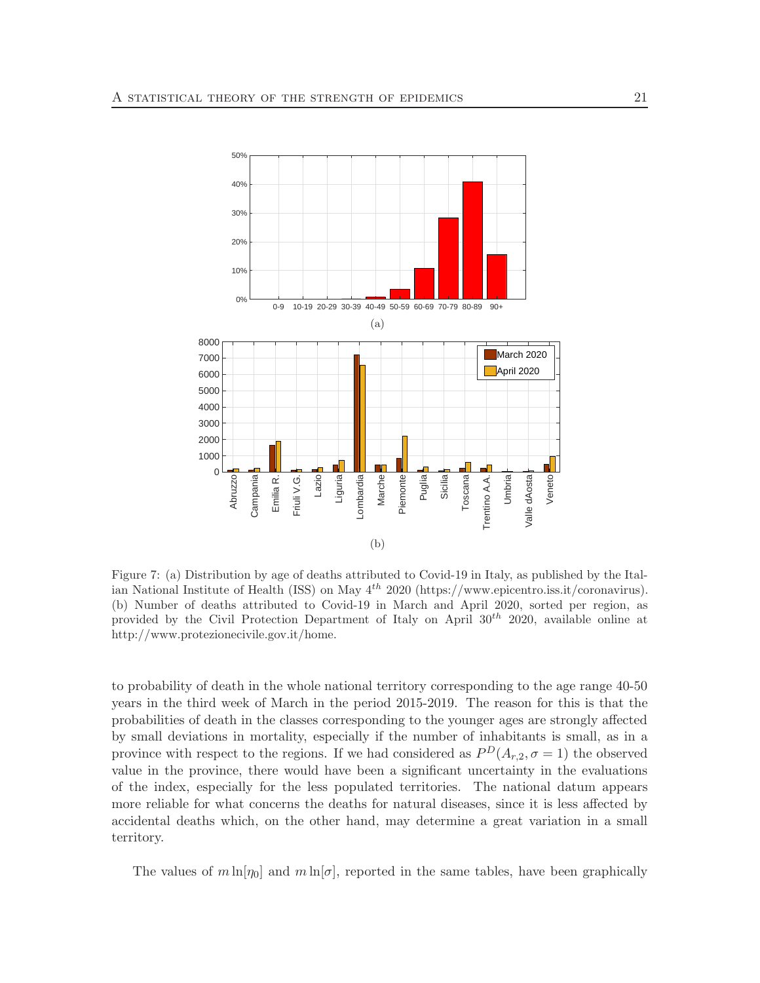

Figure 7: (a) Distribution by age of deaths attributed to Covid-19 in Italy, as published by the Italian National Institute of Health (ISS) on May 4th 2020 (https://www.epicentro.iss.it/coronavirus). (b) Number of deaths attributed to Covid-19 in March and April 2020, sorted per region, as provided by the Civil Protection Department of Italy on April  $30^{th}$  2020, available online at http://www.protezionecivile.gov.it/home.

to probability of death in the whole national territory corresponding to the age range 40-50 years in the third week of March in the period 2015-2019. The reason for this is that the probabilities of death in the classes corresponding to the younger ages are strongly affected by small deviations in mortality, especially if the number of inhabitants is small, as in a province with respect to the regions. If we had considered as  $P<sup>D</sup>(A<sub>r,2</sub>, \sigma = 1)$  the observed value in the province, there would have been a significant uncertainty in the evaluations of the index, especially for the less populated territories. The national datum appears more reliable for what concerns the deaths for natural diseases, since it is less affected by accidental deaths which, on the other hand, may determine a great variation in a small territory.

The values of  $m \ln[\eta_0]$  and  $m \ln[\sigma]$ , reported in the same tables, have been graphically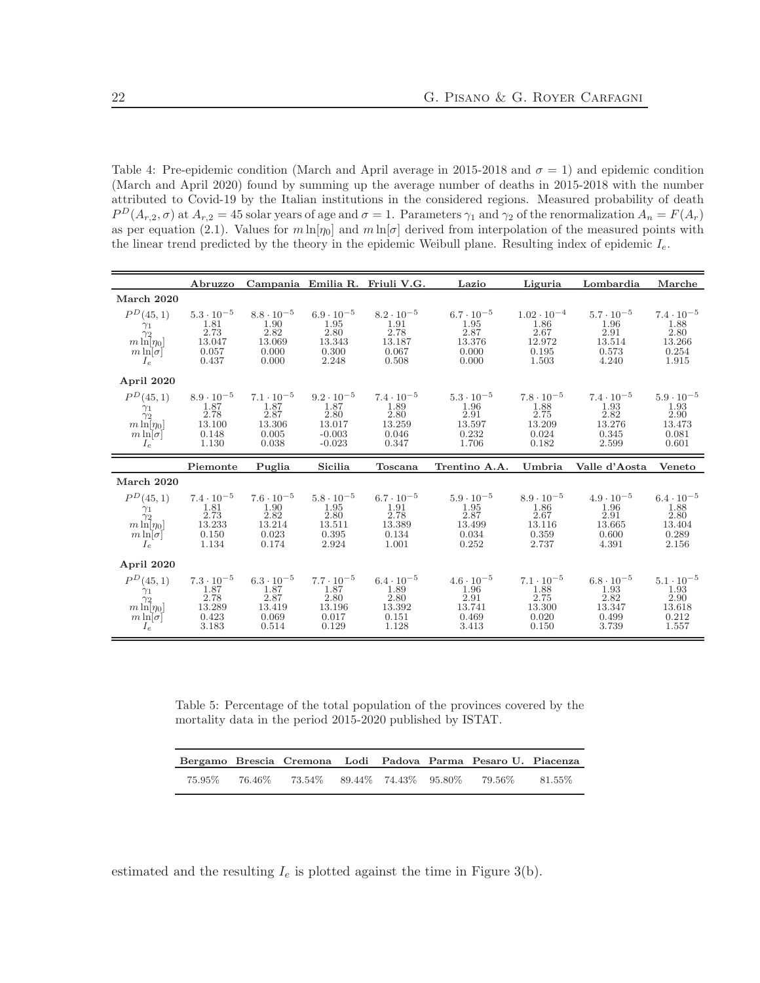Table 4: Pre-epidemic condition (March and April average in 2015-2018 and  $\sigma = 1$ ) and epidemic condition (March and April 2020) found by summing up the average number of deaths in 2015-2018 with the number attributed to Covid-19 by the Italian institutions in the considered regions. Measured probability of death  $P^{D}(A_{r,2}, \sigma)$  at  $A_{r,2} = 45$  solar years of age and  $\sigma = 1$ . Parameters  $\gamma_1$  and  $\gamma_2$  of the renormalization  $A_n = F(A_r)$ as per equation (2.1). Values for  $m \ln[\eta_0]$  and  $m \ln[\sigma]$  derived from interpolation of the measured points with the linear trend predicted by the theory in the epidemic Weibull plane. Resulting index of epidemic  $I_e$ .

|                                                                                           | Abruzzo                                                                |                                                                             |                                                                       | Campania Emilia R. Friuli V.G.                                  | Lazio                                                           | Liguria                                                                 | Lombardia                                                                   | Marche                                                          |
|-------------------------------------------------------------------------------------------|------------------------------------------------------------------------|-----------------------------------------------------------------------------|-----------------------------------------------------------------------|-----------------------------------------------------------------|-----------------------------------------------------------------|-------------------------------------------------------------------------|-----------------------------------------------------------------------------|-----------------------------------------------------------------|
| March 2020                                                                                |                                                                        |                                                                             |                                                                       |                                                                 |                                                                 |                                                                         |                                                                             |                                                                 |
| $P^D(45,1)$<br>$\frac{\gamma_1}{\gamma_2}$<br>$m \ln[\eta_0]$<br>$m \ln[\sigma]$<br>$I_e$ | $5.3 \cdot 10^{-5}$<br>$\frac{1.81}{2.73}$<br>13.047<br>0.057<br>0.437 | $8.8 \cdot 10^{-5}$<br>1.90<br>2.82<br>13.069<br>0.000<br>0.000             | $6.9 \cdot 10^{-5}$<br>1.95<br>2.80<br>13.343<br>0.300<br>2.248       | $8.2 \cdot 10^{-5}$<br>1.91<br>2.78<br>13.187<br>0.067<br>0.508 | $6.7 \cdot 10^{-5}$<br>1.95<br>2.87<br>13.376<br>0.000<br>0.000 | $1.02 \cdot 10^{-4}$<br>$\frac{1.86}{2.67}$<br>12.972<br>0.195<br>1.503 | $5.7 \cdot 10^{-5}$<br>1.96<br>2.91<br>13.514<br>0.573<br>4.240             | $7.4 \cdot 10^{-5}$<br>1.88<br>2.80<br>13.266<br>0.254<br>1.915 |
| April 2020                                                                                |                                                                        |                                                                             |                                                                       |                                                                 |                                                                 |                                                                         |                                                                             |                                                                 |
| $P^{D}(45,1)$<br>$\gamma_1$<br>$\lim_{m \ln[\eta_0]}$<br>$\frac{m \ln[\sigma]}{I_e}$      | $8.9 \cdot 10^{-5}$<br>$\frac{1.87}{2.78}$<br>13.100<br>0.148<br>1.130 | $7.1 \cdot 10^{-5}$<br>$\substack{1.87\\ 2.87}$<br>13.306<br>0.005<br>0.038 | $9.2 \cdot 10^{-5}$<br>1.87<br>2.80<br>13.017<br>$-0.003$<br>$-0.023$ | $7.4 \cdot 10^{-5}$<br>1.89<br>2.80<br>13.259<br>0.046<br>0.347 | $5.3 \cdot 10^{-5}$<br>1.96<br>2.91<br>13.597<br>0.232<br>1.706 | $7.8 \cdot 10^{-5}$<br>$\frac{1.88}{2.75}$<br>13.209<br>0.024<br>0.182  | $7.4 \cdot 10^{-5}$<br>$\substack{1.93\\ 2.82}$<br>13.276<br>0.345<br>2.599 | $5.9 \cdot 10^{-5}$<br>1.93<br>2.90<br>13.473<br>0.081<br>0.601 |
|                                                                                           |                                                                        |                                                                             |                                                                       |                                                                 |                                                                 |                                                                         |                                                                             |                                                                 |
|                                                                                           | Piemonte                                                               | Puglia                                                                      | Sicilia                                                               | Toscana                                                         | Trentino A.A.                                                   | Umbria                                                                  | Valle d'Aosta                                                               | Veneto                                                          |
| March 2020                                                                                |                                                                        |                                                                             |                                                                       |                                                                 |                                                                 |                                                                         |                                                                             |                                                                 |
| $P^{D}(45,1)$<br>$\gamma_1$<br>$\gamma_2$<br>$m \ln[\eta_0]$<br>$m \ln[\sigma]$<br>$I_e$  | $7.4 \cdot 10^{-5}$<br>$\frac{1.81}{2.73}$<br>13.233<br>0.150<br>1.134 | $7.6 \cdot 10^{-5}$<br>$\frac{1.90}{2.82}$<br>13.214<br>0.023<br>0.174      | $5.8 \cdot 10^{-5}$<br>1.95<br>2.80<br>13.511<br>0.395<br>2.924       | $6.7 \cdot 10^{-5}$<br>1.91<br>2.78<br>13.389<br>0.134<br>1.001 | $5.9 \cdot 10^{-5}$<br>1.95<br>2.87<br>13.499<br>0.034<br>0.252 | $8.9 \cdot 10^{-5}$<br>1.86<br>2.67<br>13.116<br>0.359<br>2.737         | $4.9 \cdot 10^{-5}$<br>1.96<br>2.91<br>13.665<br>0.600<br>4.391             | $6.4 \cdot 10^{-5}$<br>1.88<br>2.80<br>13.404<br>0.289<br>2.156 |
| April 2020                                                                                |                                                                        |                                                                             |                                                                       |                                                                 |                                                                 |                                                                         |                                                                             |                                                                 |

Table 5: Percentage of the total population of the provinces covered by the mortality data in the period 2015-2020 published by ISTAT.

|  |  |  | Bergamo Brescia Cremona Lodi Padova Parma Pesaro U. Piacenza |  |
|--|--|--|--------------------------------------------------------------|--|
|  |  |  | 75.95% 76.46% 73.54% 89.44% 74.43% 95.80% 79.56% 81.55%      |  |

estimated and the resulting  $I_e$  is plotted against the time in Figure 3(b).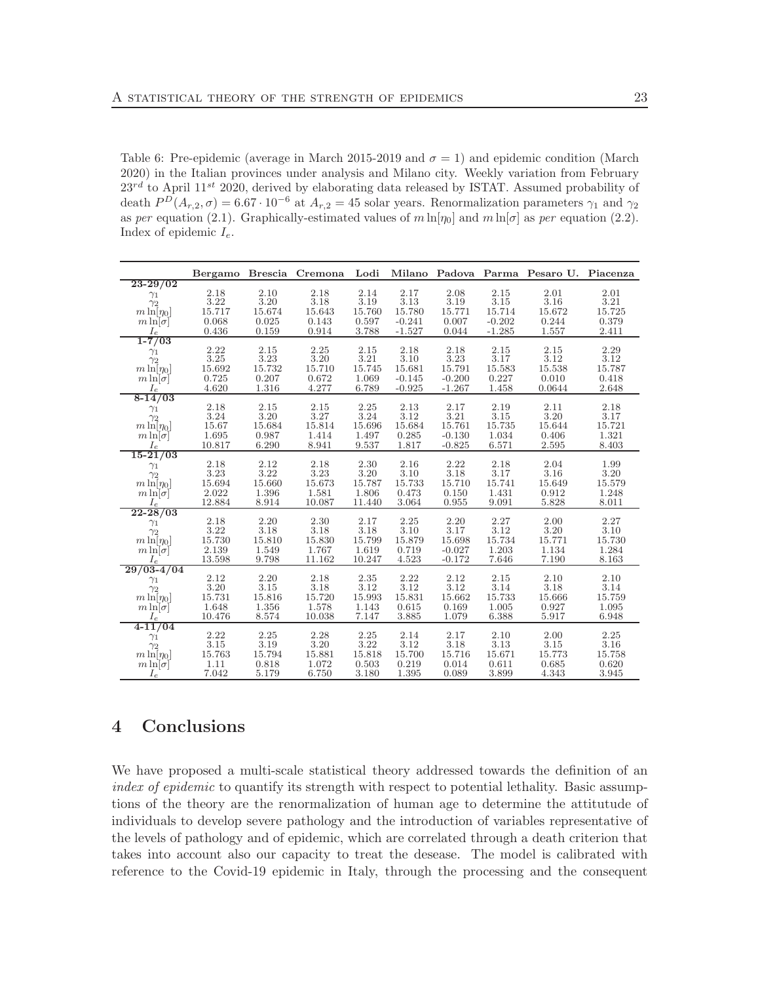Table 6: Pre-epidemic (average in March 2015-2019 and  $\sigma = 1$ ) and epidemic condition (March 2020) in the Italian provinces under analysis and Milano city. Weekly variation from February  $23^{rd}$  to April 11<sup>st</sup> 2020, derived by elaborating data released by ISTAT. Assumed probability of death  $P^D(A_{r,2}, \sigma) = 6.67 \cdot 10^{-6}$  at  $A_{r,2} = 45$  solar years. Renormalization parameters  $\gamma_1$  and  $\gamma_2$ as per equation (2.1). Graphically-estimated values of  $m \ln[\eta_0]$  and  $m \ln[\sigma]$  as per equation (2.2). Index of epidemic  $I_e$ .

|                               |                                             |                  | Bergamo Brescia Cremona                     |                |                      |                      |                 | Lodi Milano Padova Parma Pesaro U. Piacenza |                |
|-------------------------------|---------------------------------------------|------------------|---------------------------------------------|----------------|----------------------|----------------------|-----------------|---------------------------------------------|----------------|
| $23 - 29/02$                  |                                             |                  |                                             |                |                      |                      |                 |                                             |                |
| $\gamma_1$                    | 2.18<br>3.22                                | 2.10<br>$3.20\,$ | 2.18<br>3.18                                | 2.14<br>3.19   | 2.17<br>3.13         | 2.08<br>3.19         | 2.15<br>3.15    | 2.01<br>3.16                                | 2.01<br>3.21   |
| $\gamma_2$<br>$m \ln[\eta_0]$ | 15.717                                      | 15.674           | 15.643                                      | 15.760         | 15.780               | 15.771               | 15.714          | 15.672                                      | 15.725         |
| $m \ln[\sigma]$               | 0.068                                       | 0.025            | 0.143                                       | 0.597          | $-0.241$             | 0.007                | $-0.202$        | 0.244                                       | 0.379          |
| $I_e$                         | 0.436                                       | 0.159            | 0.914                                       | 3.788          | $-1.527$             | 0.044                | $-1.285$        | 1.557                                       | 2.411          |
| $1 - 7/03$                    |                                             |                  |                                             |                |                      |                      |                 |                                             |                |
| $\gamma_1$                    | $\begin{array}{c} 2.22 \\ 3.25 \end{array}$ | 2.15             | 2.25                                        | 2.15           | 2.18                 | 2.18                 | 2.15            | 2.15                                        | 2.29           |
| $\gamma_2$                    |                                             | 3.23             | 3.20                                        | 3.21           | $3.10\,$             | 3.23                 | 3.17            | $3.12\,$                                    | 3.12           |
| $m \ln[\eta_0]$               | 15.692                                      | 15.732           | 15.710                                      | 15.745         | 15.681               | 15.791               | 15.583          | 15.538                                      | 15.787         |
| $m \ln[\sigma]$               | 0.725<br>4.620                              | 0.207<br>1.316   | 0.672<br>4.277                              | 1.069<br>6.789 | $-0.145$<br>$-0.925$ | $-0.200$<br>$-1.267$ | 0.227           | 0.010<br>0.0644                             | 0.418<br>2.648 |
| $I_e$<br>$8-14/03$            |                                             |                  |                                             |                |                      |                      | 1.458           |                                             |                |
| $\gamma_1$                    |                                             | 2.15             |                                             | 2.25           | 2.13                 | 2.17                 | 2.19            | 2.11                                        | 2.18           |
| $\gamma_2$                    | $\overset{2.18}{_{3.24}}$                   | $3.20\,$         | $\begin{array}{c} 2.15 \\ 3.27 \end{array}$ | 3.24           | 3.12                 | $3.21\,$             | 3.15            | 3.20                                        | 3.17           |
| $m \ln[\eta_0]$               | 15.67                                       | 15.684           | 15.814                                      | 15.696         | 15.684               | 15.761               | 15.735          | 15.644                                      | 15.721         |
| $m \ln[\sigma]$               | 1.695                                       | 0.987            | 1.414                                       | 1.497          | 0.285                | $-0.130$             | 1.034           | 0.406                                       | 1.321          |
| $I_e$                         | 10.817                                      | 6.290            | 8.941                                       | 9.537          | 1.817                | $-0.825$             | 6.571           | 2.595                                       | 8.403          |
| $15 - 21/03$                  |                                             |                  |                                             |                |                      |                      |                 |                                             |                |
| $\gamma_1$<br>$\gamma_2$      | 2.18<br>3.23                                | 2.12<br>3.22     | 2.18<br>3.23                                | 2.30<br>3.20   | 2.16<br>$3.10\,$     | 2.22<br>3.18         | 2.18<br>3.17    | 2.04<br>3.16                                | 1.99<br>3.20   |
| $m \ln[\eta_0]$               | 15.694                                      | 15.660           | 15.673                                      | 15.787         | 15.733               | 15.710               | 15.741          | 15.649                                      | 15.579         |
| $m \ln[\sigma]$               | 2.022                                       | 1.396            | 1.581                                       | 1.806          | 0.473                | 0.150                | 1.431           | 0.912                                       | 1.248          |
| $I_e$                         | 12.884                                      | 8.914            | 10.087                                      | 11.440         | 3.064                | 0.955                | 9.091           | 5.828                                       | 8.011          |
| $22 - 28/03$                  |                                             |                  |                                             |                |                      |                      |                 |                                             |                |
| $\gamma_1$                    | 2.18                                        | 2.20             | 2.30                                        | 2.17           | 2.25                 | 2.20                 | 2.27            | 2.00                                        | 2.27           |
| $\gamma_2$                    | 3.22                                        | 3.18             | 3.18                                        | 3.18           | 3.10                 | 3.17                 | 3.12            | $3.20\,$                                    | 3.10           |
| $m \ln[\eta_0]$               | 15.730                                      | 15.810           | 15.830                                      | 15.799         | 15.879               | 15.698               | 15.734          | 15.771                                      | 15.730         |
| $m \ln[\sigma]$               | 2.139                                       | 1.549            | 1.767                                       | 1.619          | 0.719                | $-0.027$             | 1.203           | 1.134                                       | 1.284          |
| $I_e$                         | 13.598                                      | 9.798            | 11.162                                      | 10.247         | 4.523                | $-0.172$             | 7.646           | 7.190                                       | 8.163          |
| $29/03 - 4/04$                | 2.12                                        | 2.20             | 2.18                                        | 2.35           | 2.22                 | 2.12                 | 2.15            | 2.10                                        | 2.10           |
| $\gamma_1$<br>$\gamma_2$      | 3.20                                        | 3.15             | 3.18                                        | 3.12           | 3.12                 | 3.12                 | 3.14            | 3.18                                        | 3.14           |
| $m \ln[\eta_0]$               | 15.731                                      | 15.816           | 15.720                                      | 15.993         | 15.831               | 15.662               | 15.733          | 15.666                                      | 15.759         |
| $m \ln[\sigma]$               | 1.648                                       | 1.356            | 1.578                                       | 1.143          | 0.615                | 0.169                | 1.005           | 0.927                                       | 1.095          |
| $I_e$                         | 10.476                                      | 8.574            | 10.038                                      | 7.147          | 3.885                | 1.079                | 6.388           | 5.917                                       | 6.948          |
| $4 - 11/04$                   |                                             |                  |                                             |                |                      |                      |                 |                                             |                |
| $\gamma_1$                    | 2.22                                        | 2.25             | 2.28                                        | 2.25           | 2.14                 | 2.17                 | 2.10            | 2.00                                        | 2.25           |
| $\gamma_2$                    | $3.15\,$                                    | 3.19             | 3.20                                        | 3.22           | 3.12                 | $3.18\,$             | 3.13            | 3.15                                        | 3.16           |
| $m \ln[\eta_0]$               | 15.763                                      | 15.794           | 15.881                                      | 15.818         | 15.700               | 15.716               | 15.671<br>0.611 | 15.773                                      | 15.758         |
| $m \ln  \sigma $              | $1.11\,$                                    | 0.818            | 1.072                                       | 0.503          | 0.219                | 0.014                |                 | 0.685                                       | 0.620          |

# 4 Conclusions

We have proposed a multi-scale statistical theory addressed towards the definition of an index of epidemic to quantify its strength with respect to potential lethality. Basic assumptions of the theory are the renormalization of human age to determine the attitutude of individuals to develop severe pathology and the introduction of variables representative of the levels of pathology and of epidemic, which are correlated through a death criterion that takes into account also our capacity to treat the desease. The model is calibrated with reference to the Covid-19 epidemic in Italy, through the processing and the consequent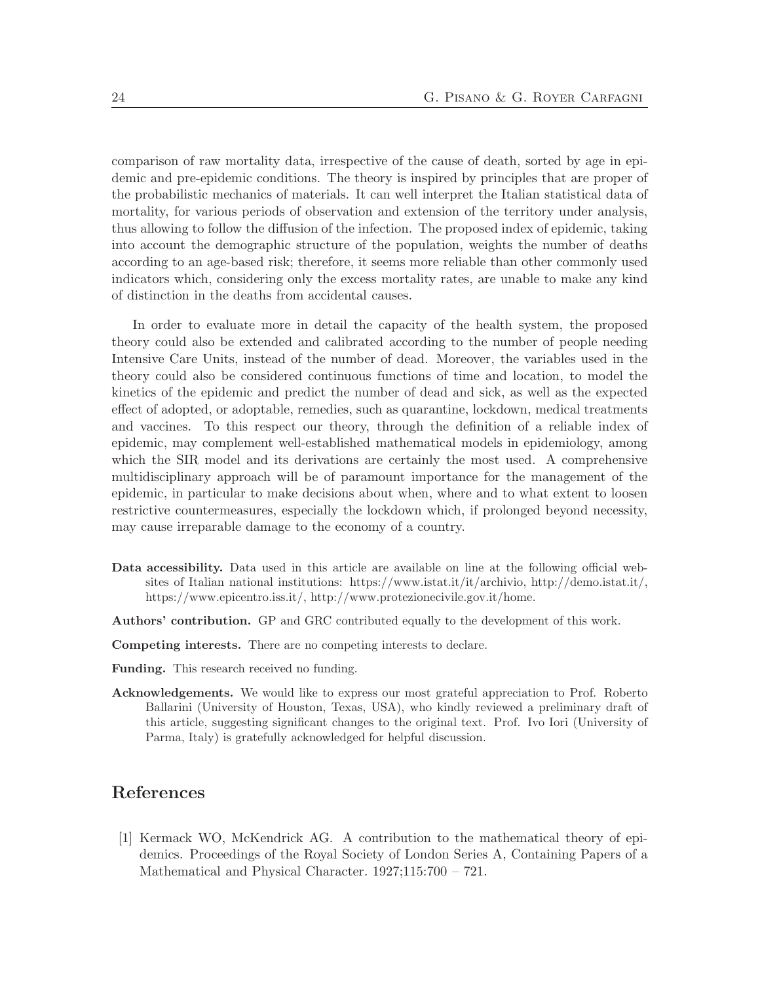comparison of raw mortality data, irrespective of the cause of death, sorted by age in epidemic and pre-epidemic conditions. The theory is inspired by principles that are proper of the probabilistic mechanics of materials. It can well interpret the Italian statistical data of mortality, for various periods of observation and extension of the territory under analysis, thus allowing to follow the diffusion of the infection. The proposed index of epidemic, taking into account the demographic structure of the population, weights the number of deaths according to an age-based risk; therefore, it seems more reliable than other commonly used indicators which, considering only the excess mortality rates, are unable to make any kind of distinction in the deaths from accidental causes.

In order to evaluate more in detail the capacity of the health system, the proposed theory could also be extended and calibrated according to the number of people needing Intensive Care Units, instead of the number of dead. Moreover, the variables used in the theory could also be considered continuous functions of time and location, to model the kinetics of the epidemic and predict the number of dead and sick, as well as the expected effect of adopted, or adoptable, remedies, such as quarantine, lockdown, medical treatments and vaccines. To this respect our theory, through the definition of a reliable index of epidemic, may complement well-established mathematical models in epidemiology, among which the SIR model and its derivations are certainly the most used. A comprehensive multidisciplinary approach will be of paramount importance for the management of the epidemic, in particular to make decisions about when, where and to what extent to loosen restrictive countermeasures, especially the lockdown which, if prolonged beyond necessity, may cause irreparable damage to the economy of a country.

- Data accessibility. Data used in this article are available on line at the following official websites of Italian national institutions: https://www.istat.it/it/archivio, http://demo.istat.it/, https://www.epicentro.iss.it/, http://www.protezionecivile.gov.it/home.
- Authors' contribution. GP and GRC contributed equally to the development of this work.
- Competing interests. There are no competing interests to declare.
- Funding. This research received no funding.
- Acknowledgements. We would like to express our most grateful appreciation to Prof. Roberto Ballarini (University of Houston, Texas, USA), who kindly reviewed a preliminary draft of this article, suggesting significant changes to the original text. Prof. Ivo Iori (University of Parma, Italy) is gratefully acknowledged for helpful discussion.

# References

[1] Kermack WO, McKendrick AG. A contribution to the mathematical theory of epidemics. Proceedings of the Royal Society of London Series A, Containing Papers of a Mathematical and Physical Character. 1927;115:700 – 721.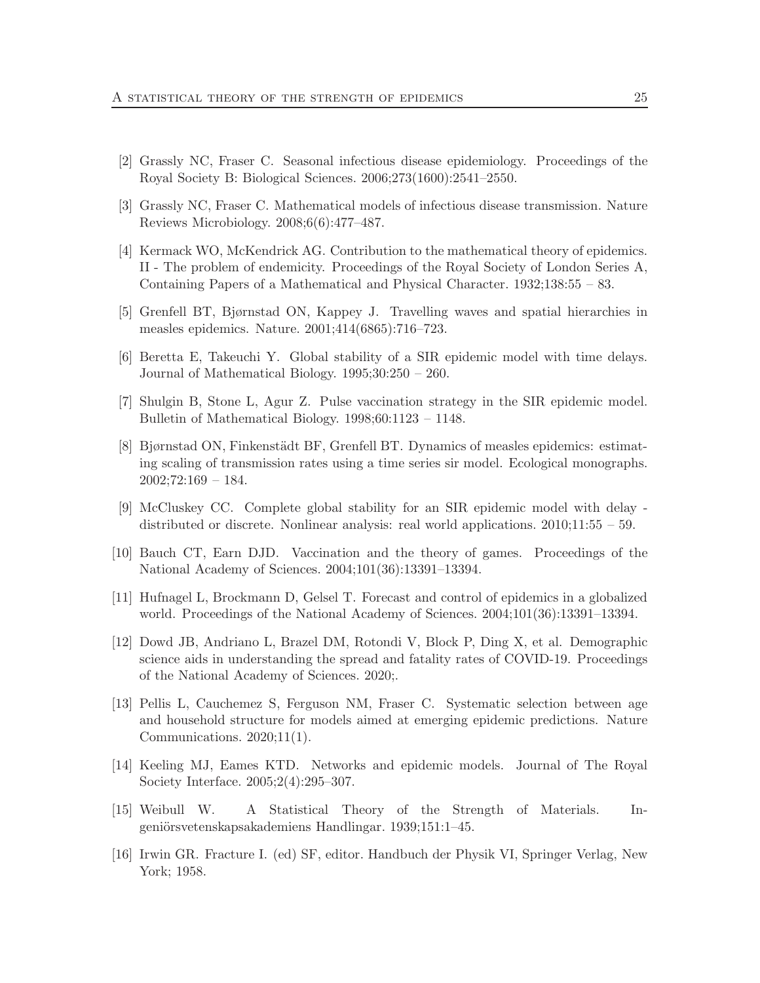- [2] Grassly NC, Fraser C. Seasonal infectious disease epidemiology. Proceedings of the Royal Society B: Biological Sciences. 2006;273(1600):2541–2550.
- [3] Grassly NC, Fraser C. Mathematical models of infectious disease transmission. Nature Reviews Microbiology. 2008;6(6):477–487.
- [4] Kermack WO, McKendrick AG. Contribution to the mathematical theory of epidemics. II - The problem of endemicity. Proceedings of the Royal Society of London Series A, Containing Papers of a Mathematical and Physical Character. 1932;138:55 – 83.
- [5] Grenfell BT, Bjørnstad ON, Kappey J. Travelling waves and spatial hierarchies in measles epidemics. Nature. 2001;414(6865):716–723.
- [6] Beretta E, Takeuchi Y. Global stability of a SIR epidemic model with time delays. Journal of Mathematical Biology. 1995;30:250 – 260.
- [7] Shulgin B, Stone L, Agur Z. Pulse vaccination strategy in the SIR epidemic model. Bulletin of Mathematical Biology. 1998;60:1123 – 1148.
- [8] Bjørnstad ON, Finkenstädt BF, Grenfell BT. Dynamics of measles epidemics: estimating scaling of transmission rates using a time series sir model. Ecological monographs.  $2002;72:169-184.$
- [9] McCluskey CC. Complete global stability for an SIR epidemic model with delay distributed or discrete. Nonlinear analysis: real world applications. 2010;11:55 – 59.
- [10] Bauch CT, Earn DJD. Vaccination and the theory of games. Proceedings of the National Academy of Sciences. 2004;101(36):13391–13394.
- [11] Hufnagel L, Brockmann D, Gelsel T. Forecast and control of epidemics in a globalized world. Proceedings of the National Academy of Sciences. 2004;101(36):13391–13394.
- [12] Dowd JB, Andriano L, Brazel DM, Rotondi V, Block P, Ding X, et al. Demographic science aids in understanding the spread and fatality rates of COVID-19. Proceedings of the National Academy of Sciences. 2020;.
- [13] Pellis L, Cauchemez S, Ferguson NM, Fraser C. Systematic selection between age and household structure for models aimed at emerging epidemic predictions. Nature Communications. 2020;11(1).
- [14] Keeling MJ, Eames KTD. Networks and epidemic models. Journal of The Royal Society Interface. 2005;2(4):295–307.
- [15] Weibull W. A Statistical Theory of the Strength of Materials. Ingeniörsvetenskapsakademiens Handlingar. 1939;151:1–45.
- [16] Irwin GR. Fracture I. (ed) SF, editor. Handbuch der Physik VI, Springer Verlag, New York; 1958.